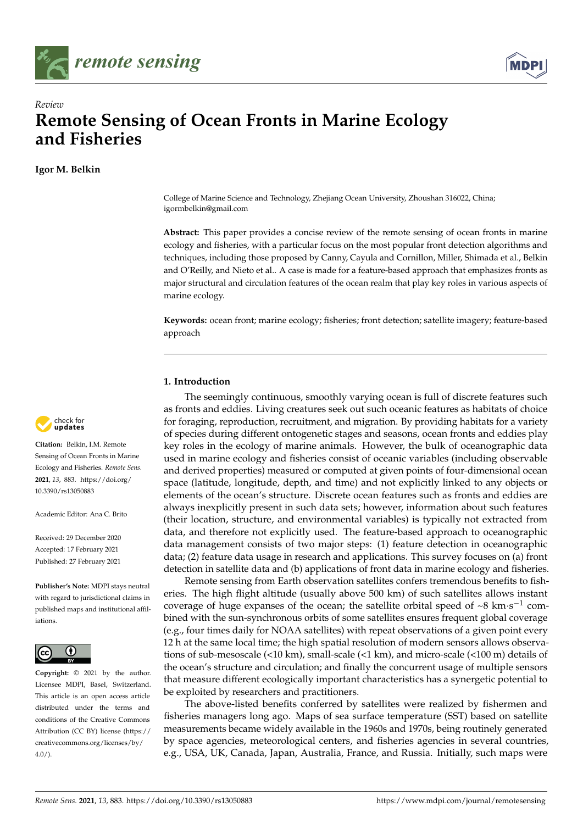



# *Review* **Remote Sensing of Ocean Fronts in Marine Ecology and Fisheries**

**Igor M. Belkin**



**Citation:** Belkin, I.M. Remote Sensing of Ocean Fronts in Marine Ecology and Fisheries. *Remote Sens.* **2021**, *13*, 883. [https://doi.org/](https://doi.org/10.3390/rs13050883) [10.3390/rs13050883](https://doi.org/10.3390/rs13050883)

Academic Editor: Ana C. Brito

Received: 29 December 2020 Accepted: 17 February 2021 Published: 27 February 2021

**Publisher's Note:** MDPI stays neutral with regard to jurisdictional claims in published maps and institutional affiliations.



**Copyright:** © 2021 by the author. Licensee MDPI, Basel, Switzerland. This article is an open access article distributed under the terms and conditions of the Creative Commons Attribution (CC BY) license (https:/[/](https://creativecommons.org/licenses/by/4.0/) [creativecommons.org/licenses/by/](https://creativecommons.org/licenses/by/4.0/)  $4.0/$ ).

College of Marine Science and Technology, Zhejiang Ocean University, Zhoushan 316022, China; igormbelkin@gmail.com

**Abstract:** This paper provides a concise review of the remote sensing of ocean fronts in marine ecology and fisheries, with a particular focus on the most popular front detection algorithms and techniques, including those proposed by Canny, Cayula and Cornillon, Miller, Shimada et al., Belkin and O'Reilly, and Nieto et al.. A case is made for a feature-based approach that emphasizes fronts as major structural and circulation features of the ocean realm that play key roles in various aspects of marine ecology.

**Keywords:** ocean front; marine ecology; fisheries; front detection; satellite imagery; feature-based approach

# **1. Introduction**

The seemingly continuous, smoothly varying ocean is full of discrete features such as fronts and eddies. Living creatures seek out such oceanic features as habitats of choice for foraging, reproduction, recruitment, and migration. By providing habitats for a variety of species during different ontogenetic stages and seasons, ocean fronts and eddies play key roles in the ecology of marine animals. However, the bulk of oceanographic data used in marine ecology and fisheries consist of oceanic variables (including observable and derived properties) measured or computed at given points of four-dimensional ocean space (latitude, longitude, depth, and time) and not explicitly linked to any objects or elements of the ocean's structure. Discrete ocean features such as fronts and eddies are always inexplicitly present in such data sets; however, information about such features (their location, structure, and environmental variables) is typically not extracted from data, and therefore not explicitly used. The feature-based approach to oceanographic data management consists of two major steps: (1) feature detection in oceanographic data; (2) feature data usage in research and applications. This survey focuses on (a) front detection in satellite data and (b) applications of front data in marine ecology and fisheries.

Remote sensing from Earth observation satellites confers tremendous benefits to fisheries. The high flight altitude (usually above 500 km) of such satellites allows instant coverage of huge expanses of the ocean; the satellite orbital speed of ~8  $\text{km}\cdot\text{s}^{-1}$  combined with the sun-synchronous orbits of some satellites ensures frequent global coverage (e.g., four times daily for NOAA satellites) with repeat observations of a given point every 12 h at the same local time; the high spatial resolution of modern sensors allows observations of sub-mesoscale (<10 km), small-scale (<1 km), and micro-scale (<100 m) details of the ocean's structure and circulation; and finally the concurrent usage of multiple sensors that measure different ecologically important characteristics has a synergetic potential to be exploited by researchers and practitioners.

The above-listed benefits conferred by satellites were realized by fishermen and fisheries managers long ago. Maps of sea surface temperature (SST) based on satellite measurements became widely available in the 1960s and 1970s, being routinely generated by space agencies, meteorological centers, and fisheries agencies in several countries, e.g., USA, UK, Canada, Japan, Australia, France, and Russia. Initially, such maps were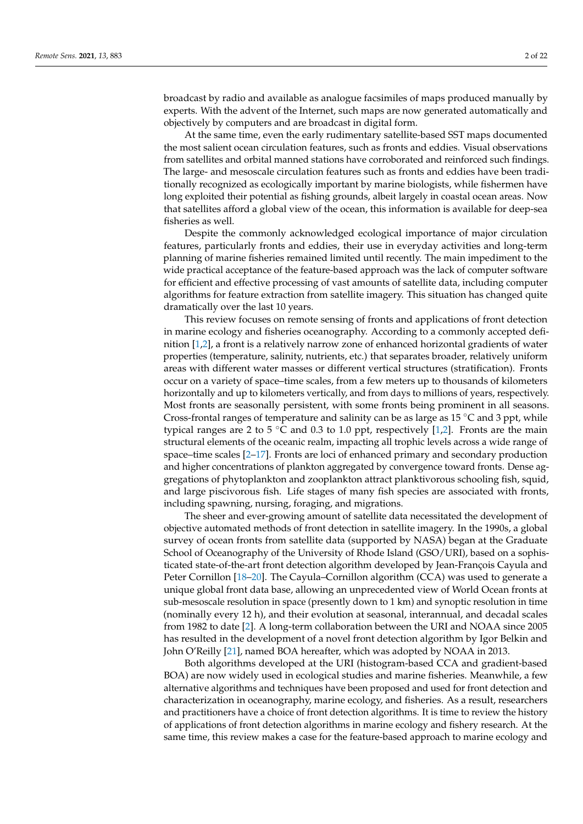broadcast by radio and available as analogue facsimiles of maps produced manually by experts. With the advent of the Internet, such maps are now generated automatically and objectively by computers and are broadcast in digital form.

At the same time, even the early rudimentary satellite-based SST maps documented the most salient ocean circulation features, such as fronts and eddies. Visual observations from satellites and orbital manned stations have corroborated and reinforced such findings. The large- and mesoscale circulation features such as fronts and eddies have been traditionally recognized as ecologically important by marine biologists, while fishermen have long exploited their potential as fishing grounds, albeit largely in coastal ocean areas. Now that satellites afford a global view of the ocean, this information is available for deep-sea fisheries as well.

Despite the commonly acknowledged ecological importance of major circulation features, particularly fronts and eddies, their use in everyday activities and long-term planning of marine fisheries remained limited until recently. The main impediment to the wide practical acceptance of the feature-based approach was the lack of computer software for efficient and effective processing of vast amounts of satellite data, including computer algorithms for feature extraction from satellite imagery. This situation has changed quite dramatically over the last 10 years.

This review focuses on remote sensing of fronts and applications of front detection in marine ecology and fisheries oceanography. According to a commonly accepted definition [\[1,](#page-13-0)[2\]](#page-13-1), a front is a relatively narrow zone of enhanced horizontal gradients of water properties (temperature, salinity, nutrients, etc.) that separates broader, relatively uniform areas with different water masses or different vertical structures (stratification). Fronts occur on a variety of space–time scales, from a few meters up to thousands of kilometers horizontally and up to kilometers vertically, and from days to millions of years, respectively. Most fronts are seasonally persistent, with some fronts being prominent in all seasons. Cross-frontal ranges of temperature and salinity can be as large as 15  $°C$  and 3 ppt, while typical ranges are 2 to 5  $\degree$ C and 0.3 to 1.0 ppt, respectively [\[1](#page-13-0)[,2\]](#page-13-1). Fronts are the main structural elements of the oceanic realm, impacting all trophic levels across a wide range of space–time scales [\[2](#page-13-1)[–17\]](#page-14-0). Fronts are loci of enhanced primary and secondary production and higher concentrations of plankton aggregated by convergence toward fronts. Dense aggregations of phytoplankton and zooplankton attract planktivorous schooling fish, squid, and large piscivorous fish. Life stages of many fish species are associated with fronts, including spawning, nursing, foraging, and migrations.

The sheer and ever-growing amount of satellite data necessitated the development of objective automated methods of front detection in satellite imagery. In the 1990s, a global survey of ocean fronts from satellite data (supported by NASA) began at the Graduate School of Oceanography of the University of Rhode Island (GSO/URI), based on a sophisticated state-of-the-art front detection algorithm developed by Jean-François Cayula and Peter Cornillon [\[18–](#page-14-1)[20\]](#page-14-2). The Cayula–Cornillon algorithm (CCA) was used to generate a unique global front data base, allowing an unprecedented view of World Ocean fronts at sub-mesoscale resolution in space (presently down to 1 km) and synoptic resolution in time (nominally every 12 h), and their evolution at seasonal, interannual, and decadal scales from 1982 to date [\[2\]](#page-13-1). A long-term collaboration between the URI and NOAA since 2005 has resulted in the development of a novel front detection algorithm by Igor Belkin and John O'Reilly [\[21\]](#page-14-3), named BOA hereafter, which was adopted by NOAA in 2013.

Both algorithms developed at the URI (histogram-based CCA and gradient-based BOA) are now widely used in ecological studies and marine fisheries. Meanwhile, a few alternative algorithms and techniques have been proposed and used for front detection and characterization in oceanography, marine ecology, and fisheries. As a result, researchers and practitioners have a choice of front detection algorithms. It is time to review the history of applications of front detection algorithms in marine ecology and fishery research. At the same time, this review makes a case for the feature-based approach to marine ecology and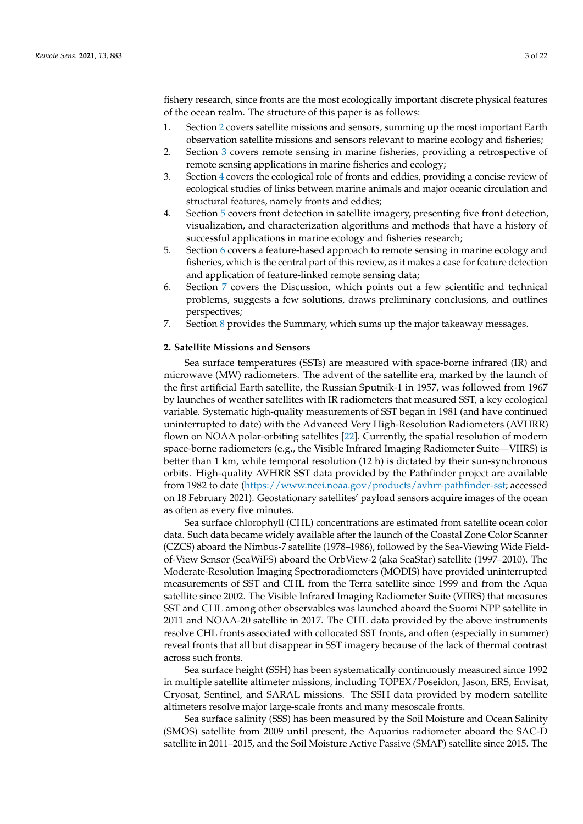fishery research, since fronts are the most ecologically important discrete physical features of the ocean realm. The structure of this paper is as follows:

- 1. Section [2](#page-2-0) covers satellite missions and sensors, summing up the most important Earth observation satellite missions and sensors relevant to marine ecology and fisheries;
- 2. Section [3](#page-3-0) covers remote sensing in marine fisheries, providing a retrospective of remote sensing applications in marine fisheries and ecology;
- 3. Section [4](#page-4-0) covers the ecological role of fronts and eddies, providing a concise review of ecological studies of links between marine animals and major oceanic circulation and structural features, namely fronts and eddies;
- 4. Section [5](#page-7-0) covers front detection in satellite imagery, presenting five front detection, visualization, and characterization algorithms and methods that have a history of successful applications in marine ecology and fisheries research;
- 5. Section [6](#page-9-0) covers a feature-based approach to remote sensing in marine ecology and fisheries, which is the central part of this review, as it makes a case for feature detection and application of feature-linked remote sensing data;
- 6. Section [7](#page-11-0) covers the Discussion, which points out a few scientific and technical problems, suggests a few solutions, draws preliminary conclusions, and outlines perspectives;
- 7. Section [8](#page-13-2) provides the Summary, which sums up the major takeaway messages.

### <span id="page-2-0"></span>**2. Satellite Missions and Sensors**

Sea surface temperatures (SSTs) are measured with space-borne infrared (IR) and microwave (MW) radiometers. The advent of the satellite era, marked by the launch of the first artificial Earth satellite, the Russian Sputnik-1 in 1957, was followed from 1967 by launches of weather satellites with IR radiometers that measured SST, a key ecological variable. Systematic high-quality measurements of SST began in 1981 (and have continued uninterrupted to date) with the Advanced Very High-Resolution Radiometers (AVHRR) flown on NOAA polar-orbiting satellites [\[22\]](#page-14-4). Currently, the spatial resolution of modern space-borne radiometers (e.g., the Visible Infrared Imaging Radiometer Suite—VIIRS) is better than  $1 \text{ km}$ , while temporal resolution  $(12 \text{ h})$  is dictated by their sun-synchronous orbits. High-quality AVHRR SST data provided by the Pathfinder project are available from 1982 to date [\(https://www.ncei.noaa.gov/products/avhrr-pathfinder-sst;](https://www.ncei.noaa.gov/products/avhrr-pathfinder-sst) accessed on 18 February 2021). Geostationary satellites' payload sensors acquire images of the ocean as often as every five minutes.

Sea surface chlorophyll (CHL) concentrations are estimated from satellite ocean color data. Such data became widely available after the launch of the Coastal Zone Color Scanner (CZCS) aboard the Nimbus-7 satellite (1978–1986), followed by the Sea-Viewing Wide Fieldof-View Sensor (SeaWiFS) aboard the OrbView-2 (aka SeaStar) satellite (1997–2010). The Moderate-Resolution Imaging Spectroradiometers (MODIS) have provided uninterrupted measurements of SST and CHL from the Terra satellite since 1999 and from the Aqua satellite since 2002. The Visible Infrared Imaging Radiometer Suite (VIIRS) that measures SST and CHL among other observables was launched aboard the Suomi NPP satellite in 2011 and NOAA-20 satellite in 2017. The CHL data provided by the above instruments resolve CHL fronts associated with collocated SST fronts, and often (especially in summer) reveal fronts that all but disappear in SST imagery because of the lack of thermal contrast across such fronts.

Sea surface height (SSH) has been systematically continuously measured since 1992 in multiple satellite altimeter missions, including TOPEX/Poseidon, Jason, ERS, Envisat, Cryosat, Sentinel, and SARAL missions. The SSH data provided by modern satellite altimeters resolve major large-scale fronts and many mesoscale fronts.

Sea surface salinity (SSS) has been measured by the Soil Moisture and Ocean Salinity (SMOS) satellite from 2009 until present, the Aquarius radiometer aboard the SAC-D satellite in 2011–2015, and the Soil Moisture Active Passive (SMAP) satellite since 2015. The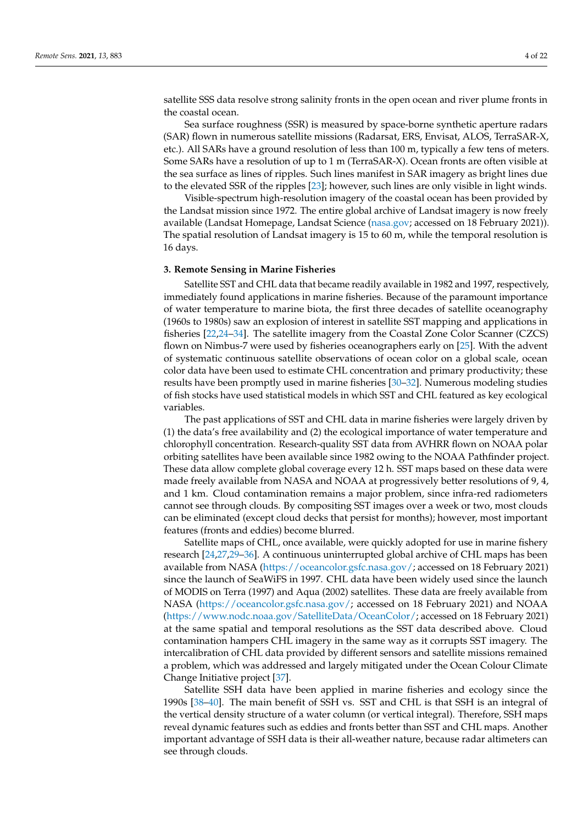satellite SSS data resolve strong salinity fronts in the open ocean and river plume fronts in the coastal ocean.

Sea surface roughness (SSR) is measured by space-borne synthetic aperture radars (SAR) flown in numerous satellite missions (Radarsat, ERS, Envisat, ALOS, TerraSAR-X, etc.). All SARs have a ground resolution of less than 100 m, typically a few tens of meters. Some SARs have a resolution of up to 1 m (TerraSAR-X). Ocean fronts are often visible at the sea surface as lines of ripples. Such lines manifest in SAR imagery as bright lines due to the elevated SSR of the ripples [\[23\]](#page-14-5); however, such lines are only visible in light winds.

Visible-spectrum high-resolution imagery of the coastal ocean has been provided by the Landsat mission since 1972. The entire global archive of Landsat imagery is now freely available (Landsat Homepage, Landsat Science [\(nasa.gov;](nasa.gov) accessed on 18 February 2021)). The spatial resolution of Landsat imagery is 15 to 60 m, while the temporal resolution is 16 days.

#### <span id="page-3-0"></span>**3. Remote Sensing in Marine Fisheries**

Satellite SST and CHL data that became readily available in 1982 and 1997, respectively, immediately found applications in marine fisheries. Because of the paramount importance of water temperature to marine biota, the first three decades of satellite oceanography (1960s to 1980s) saw an explosion of interest in satellite SST mapping and applications in fisheries [\[22](#page-14-4)[,24](#page-14-6)[–34\]](#page-14-7). The satellite imagery from the Coastal Zone Color Scanner (CZCS) flown on Nimbus-7 were used by fisheries oceanographers early on [\[25\]](#page-14-8). With the advent of systematic continuous satellite observations of ocean color on a global scale, ocean color data have been used to estimate CHL concentration and primary productivity; these results have been promptly used in marine fisheries [\[30–](#page-14-9)[32\]](#page-14-10). Numerous modeling studies of fish stocks have used statistical models in which SST and CHL featured as key ecological variables.

The past applications of SST and CHL data in marine fisheries were largely driven by (1) the data's free availability and (2) the ecological importance of water temperature and chlorophyll concentration. Research-quality SST data from AVHRR flown on NOAA polar orbiting satellites have been available since 1982 owing to the NOAA Pathfinder project. These data allow complete global coverage every 12 h. SST maps based on these data were made freely available from NASA and NOAA at progressively better resolutions of 9, 4, and 1 km. Cloud contamination remains a major problem, since infra-red radiometers cannot see through clouds. By compositing SST images over a week or two, most clouds can be eliminated (except cloud decks that persist for months); however, most important features (fronts and eddies) become blurred.

Satellite maps of CHL, once available, were quickly adopted for use in marine fishery research [\[24](#page-14-6)[,27](#page-14-11)[,29](#page-14-12)[–36\]](#page-15-0). A continuous uninterrupted global archive of CHL maps has been available from NASA [\(https://oceancolor.gsfc.nasa.gov/;](https://oceancolor.gsfc.nasa.gov/) accessed on 18 February 2021) since the launch of SeaWiFS in 1997. CHL data have been widely used since the launch of MODIS on Terra (1997) and Aqua (2002) satellites. These data are freely available from NASA [\(https://oceancolor.gsfc.nasa.gov/;](https://oceancolor.gsfc.nasa.gov/) accessed on 18 February 2021) and NOAA [\(https://www.nodc.noaa.gov/SatelliteData/OceanColor/;](https://www.nodc.noaa.gov/SatelliteData/OceanColor/) accessed on 18 February 2021) at the same spatial and temporal resolutions as the SST data described above. Cloud contamination hampers CHL imagery in the same way as it corrupts SST imagery. The intercalibration of CHL data provided by different sensors and satellite missions remained a problem, which was addressed and largely mitigated under the Ocean Colour Climate Change Initiative project [\[37\]](#page-15-1).

Satellite SSH data have been applied in marine fisheries and ecology since the 1990s [\[38](#page-15-2)[–40\]](#page-15-3). The main benefit of SSH vs. SST and CHL is that SSH is an integral of the vertical density structure of a water column (or vertical integral). Therefore, SSH maps reveal dynamic features such as eddies and fronts better than SST and CHL maps. Another important advantage of SSH data is their all-weather nature, because radar altimeters can see through clouds.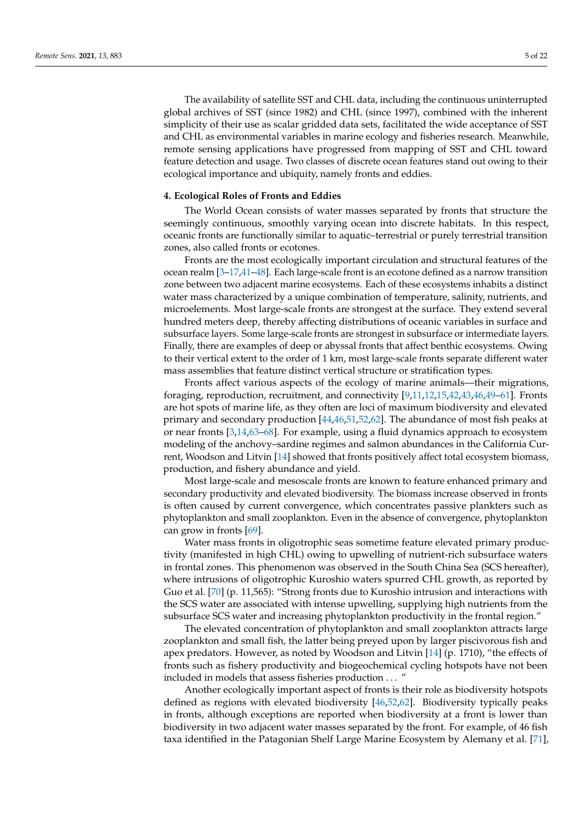The availability of satellite SST and CHL data, including the continuous uninterrupted global archives of SST (since 1982) and CHL (since 1997), combined with the inherent simplicity of their use as scalar gridded data sets, facilitated the wide acceptance of SST and CHL as environmental variables in marine ecology and fisheries research. Meanwhile, remote sensing applications have progressed from mapping of SST and CHL toward feature detection and usage. Two classes of discrete ocean features stand out owing to their ecological importance and ubiquity, namely fronts and eddies.

#### <span id="page-4-0"></span>**4. Ecological Roles of Fronts and Eddies**

The World Ocean consists of water masses separated by fronts that structure the seemingly continuous, smoothly varying ocean into discrete habitats. In this respect, oceanic fronts are functionally similar to aquatic–terrestrial or purely terrestrial transition zones, also called fronts or ecotones.

Fronts are the most ecologically important circulation and structural features of the ocean realm [\[3](#page-13-3)[–17,](#page-14-0)[41–](#page-15-4)[48\]](#page-15-5). Each large-scale front is an ecotone defined as a narrow transition zone between two adjacent marine ecosystems. Each of these ecosystems inhabits a distinct water mass characterized by a unique combination of temperature, salinity, nutrients, and microelements. Most large-scale fronts are strongest at the surface. They extend several hundred meters deep, thereby affecting distributions of oceanic variables in surface and subsurface layers. Some large-scale fronts are strongest in subsurface or intermediate layers. Finally, there are examples of deep or abyssal fronts that affect benthic ecosystems. Owing to their vertical extent to the order of 1 km, most large-scale fronts separate different water mass assemblies that feature distinct vertical structure or stratification types.

Fronts affect various aspects of the ecology of marine animals—their migrations, foraging, reproduction, recruitment, and connectivity [\[9,](#page-14-13)[11,](#page-14-14)[12,](#page-14-15)[15,](#page-14-16)[42,](#page-15-6)[43,](#page-15-7)[46,](#page-15-8)[49](#page-15-9)[–61\]](#page-16-0). Fronts are hot spots of marine life, as they often are loci of maximum biodiversity and elevated primary and secondary production [\[44](#page-15-10)[,46](#page-15-8)[,51](#page-15-11)[,52](#page-15-12)[,62\]](#page-16-1). The abundance of most fish peaks at or near fronts [\[3](#page-13-3)[,14,](#page-14-17)[63](#page-16-2)[–68\]](#page-16-3). For example, using a fluid dynamics approach to ecosystem modeling of the anchovy–sardine regimes and salmon abundances in the California Current, Woodson and Litvin [\[14\]](#page-14-17) showed that fronts positively affect total ecosystem biomass, production, and fishery abundance and yield.

Most large-scale and mesoscale fronts are known to feature enhanced primary and secondary productivity and elevated biodiversity. The biomass increase observed in fronts is often caused by current convergence, which concentrates passive plankters such as phytoplankton and small zooplankton. Even in the absence of convergence, phytoplankton can grow in fronts [\[69\]](#page-16-4).

Water mass fronts in oligotrophic seas sometime feature elevated primary productivity (manifested in high CHL) owing to upwelling of nutrient-rich subsurface waters in frontal zones. This phenomenon was observed in the South China Sea (SCS hereafter), where intrusions of oligotrophic Kuroshio waters spurred CHL growth, as reported by Guo et al. [\[70\]](#page-16-5) (p. 11,565): "Strong fronts due to Kuroshio intrusion and interactions with the SCS water are associated with intense upwelling, supplying high nutrients from the subsurface SCS water and increasing phytoplankton productivity in the frontal region."

The elevated concentration of phytoplankton and small zooplankton attracts large zooplankton and small fish, the latter being preyed upon by larger piscivorous fish and apex predators. However, as noted by Woodson and Litvin  $[14]$  (p. 1710), "the effects of fronts such as fishery productivity and biogeochemical cycling hotspots have not been included in models that assess fisheries production . . . "

Another ecologically important aspect of fronts is their role as biodiversity hotspots defined as regions with elevated biodiversity [\[46](#page-15-8)[,52](#page-15-12)[,62\]](#page-16-1). Biodiversity typically peaks in fronts, although exceptions are reported when biodiversity at a front is lower than biodiversity in two adjacent water masses separated by the front. For example, of 46 fish taxa identified in the Patagonian Shelf Large Marine Ecosystem by Alemany et al. [\[71\]](#page-16-6),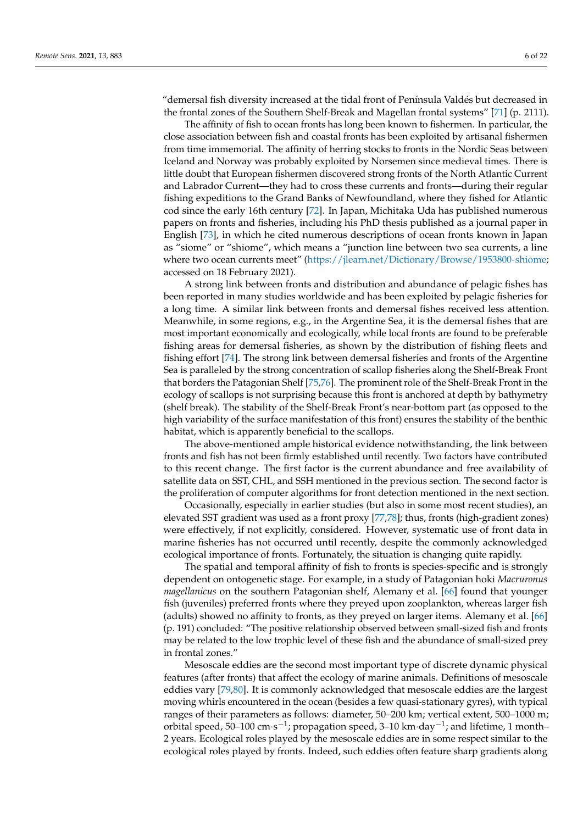"demersal fish diversity increased at the tidal front of Península Valdés but decreased in the frontal zones of the Southern Shelf-Break and Magellan frontal systems" [\[71\]](#page-16-6) (p. 2111).

The affinity of fish to ocean fronts has long been known to fishermen. In particular, the close association between fish and coastal fronts has been exploited by artisanal fishermen from time immemorial. The affinity of herring stocks to fronts in the Nordic Seas between Iceland and Norway was probably exploited by Norsemen since medieval times. There is little doubt that European fishermen discovered strong fronts of the North Atlantic Current and Labrador Current—they had to cross these currents and fronts—during their regular fishing expeditions to the Grand Banks of Newfoundland, where they fished for Atlantic cod since the early 16th century [\[72\]](#page-16-7). In Japan, Michitaka Uda has published numerous papers on fronts and fisheries, including his PhD thesis published as a journal paper in English [\[73\]](#page-16-8), in which he cited numerous descriptions of ocean fronts known in Japan as "siome" or "shiome", which means a "junction line between two sea currents, a line where two ocean currents meet" [\(https://jlearn.net/Dictionary/Browse/1953800-shiome;](https://jlearn.net/Dictionary/Browse/1953800-shiome) accessed on 18 February 2021).

A strong link between fronts and distribution and abundance of pelagic fishes has been reported in many studies worldwide and has been exploited by pelagic fisheries for a long time. A similar link between fronts and demersal fishes received less attention. Meanwhile, in some regions, e.g., in the Argentine Sea, it is the demersal fishes that are most important economically and ecologically, while local fronts are found to be preferable fishing areas for demersal fisheries, as shown by the distribution of fishing fleets and fishing effort [\[74\]](#page-16-9). The strong link between demersal fisheries and fronts of the Argentine Sea is paralleled by the strong concentration of scallop fisheries along the Shelf-Break Front that borders the Patagonian Shelf [\[75,](#page-16-10)[76\]](#page-16-11). The prominent role of the Shelf-Break Front in the ecology of scallops is not surprising because this front is anchored at depth by bathymetry (shelf break). The stability of the Shelf-Break Front's near-bottom part (as opposed to the high variability of the surface manifestation of this front) ensures the stability of the benthic habitat, which is apparently beneficial to the scallops.

The above-mentioned ample historical evidence notwithstanding, the link between fronts and fish has not been firmly established until recently. Two factors have contributed to this recent change. The first factor is the current abundance and free availability of satellite data on SST, CHL, and SSH mentioned in the previous section. The second factor is the proliferation of computer algorithms for front detection mentioned in the next section.

Occasionally, especially in earlier studies (but also in some most recent studies), an elevated SST gradient was used as a front proxy [\[77](#page-16-12)[,78\]](#page-16-13); thus, fronts (high-gradient zones) were effectively, if not explicitly, considered. However, systematic use of front data in marine fisheries has not occurred until recently, despite the commonly acknowledged ecological importance of fronts. Fortunately, the situation is changing quite rapidly.

The spatial and temporal affinity of fish to fronts is species-specific and is strongly dependent on ontogenetic stage. For example, in a study of Patagonian hoki *Macruronus magellanicus* on the southern Patagonian shelf, Alemany et al. [\[66\]](#page-16-14) found that younger fish (juveniles) preferred fronts where they preyed upon zooplankton, whereas larger fish (adults) showed no affinity to fronts, as they preyed on larger items. Alemany et al. [\[66\]](#page-16-14) (p. 191) concluded: "The positive relationship observed between small-sized fish and fronts may be related to the low trophic level of these fish and the abundance of small-sized prey in frontal zones."

Mesoscale eddies are the second most important type of discrete dynamic physical features (after fronts) that affect the ecology of marine animals. Definitions of mesoscale eddies vary [\[79,](#page-16-15)[80\]](#page-16-16). It is commonly acknowledged that mesoscale eddies are the largest moving whirls encountered in the ocean (besides a few quasi-stationary gyres), with typical ranges of their parameters as follows: diameter, 50–200 km; vertical extent, 500–1000 m; orbital speed, 50–100 cm⋅s<sup>-1</sup>; propagation speed, 3–10 km⋅day<sup>-1</sup>; and lifetime, 1 month-2 years. Ecological roles played by the mesoscale eddies are in some respect similar to the ecological roles played by fronts. Indeed, such eddies often feature sharp gradients along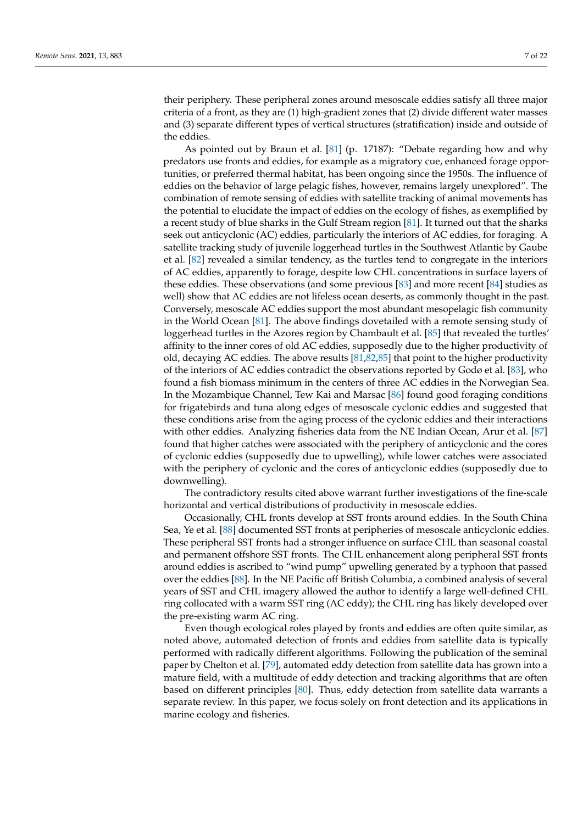their periphery. These peripheral zones around mesoscale eddies satisfy all three major criteria of a front, as they are (1) high-gradient zones that (2) divide different water masses and (3) separate different types of vertical structures (stratification) inside and outside of the eddies.

As pointed out by Braun et al. [\[81\]](#page-16-17) (p. 17187): "Debate regarding how and why predators use fronts and eddies, for example as a migratory cue, enhanced forage opportunities, or preferred thermal habitat, has been ongoing since the 1950s. The influence of eddies on the behavior of large pelagic fishes, however, remains largely unexplored". The combination of remote sensing of eddies with satellite tracking of animal movements has the potential to elucidate the impact of eddies on the ecology of fishes, as exemplified by a recent study of blue sharks in the Gulf Stream region [\[81\]](#page-16-17). It turned out that the sharks seek out anticyclonic (AC) eddies, particularly the interiors of AC eddies, for foraging. A satellite tracking study of juvenile loggerhead turtles in the Southwest Atlantic by Gaube et al. [\[82\]](#page-16-18) revealed a similar tendency, as the turtles tend to congregate in the interiors of AC eddies, apparently to forage, despite low CHL concentrations in surface layers of these eddies. These observations (and some previous [\[83\]](#page-16-19) and more recent [\[84\]](#page-16-20) studies as well) show that AC eddies are not lifeless ocean deserts, as commonly thought in the past. Conversely, mesoscale AC eddies support the most abundant mesopelagic fish community in the World Ocean [\[81\]](#page-16-17). The above findings dovetailed with a remote sensing study of loggerhead turtles in the Azores region by Chambault et al. [\[85\]](#page-17-0) that revealed the turtles' affinity to the inner cores of old AC eddies, supposedly due to the higher productivity of old, decaying AC eddies. The above results [\[81](#page-16-17)[,82](#page-16-18)[,85\]](#page-17-0) that point to the higher productivity of the interiors of AC eddies contradict the observations reported by Godø et al. [\[83\]](#page-16-19), who found a fish biomass minimum in the centers of three AC eddies in the Norwegian Sea. In the Mozambique Channel, Tew Kai and Marsac [\[86\]](#page-17-1) found good foraging conditions for frigatebirds and tuna along edges of mesoscale cyclonic eddies and suggested that these conditions arise from the aging process of the cyclonic eddies and their interactions with other eddies. Analyzing fisheries data from the NE Indian Ocean, Arur et al. [\[87\]](#page-17-2) found that higher catches were associated with the periphery of anticyclonic and the cores of cyclonic eddies (supposedly due to upwelling), while lower catches were associated with the periphery of cyclonic and the cores of anticyclonic eddies (supposedly due to downwelling).

The contradictory results cited above warrant further investigations of the fine-scale horizontal and vertical distributions of productivity in mesoscale eddies.

Occasionally, CHL fronts develop at SST fronts around eddies. In the South China Sea, Ye et al. [\[88\]](#page-17-3) documented SST fronts at peripheries of mesoscale anticyclonic eddies. These peripheral SST fronts had a stronger influence on surface CHL than seasonal coastal and permanent offshore SST fronts. The CHL enhancement along peripheral SST fronts around eddies is ascribed to "wind pump" upwelling generated by a typhoon that passed over the eddies [\[88\]](#page-17-3). In the NE Pacific off British Columbia, a combined analysis of several years of SST and CHL imagery allowed the author to identify a large well-defined CHL ring collocated with a warm SST ring (AC eddy); the CHL ring has likely developed over the pre-existing warm AC ring.

Even though ecological roles played by fronts and eddies are often quite similar, as noted above, automated detection of fronts and eddies from satellite data is typically performed with radically different algorithms. Following the publication of the seminal paper by Chelton et al. [\[79\]](#page-16-15), automated eddy detection from satellite data has grown into a mature field, with a multitude of eddy detection and tracking algorithms that are often based on different principles [\[80\]](#page-16-16). Thus, eddy detection from satellite data warrants a separate review. In this paper, we focus solely on front detection and its applications in marine ecology and fisheries.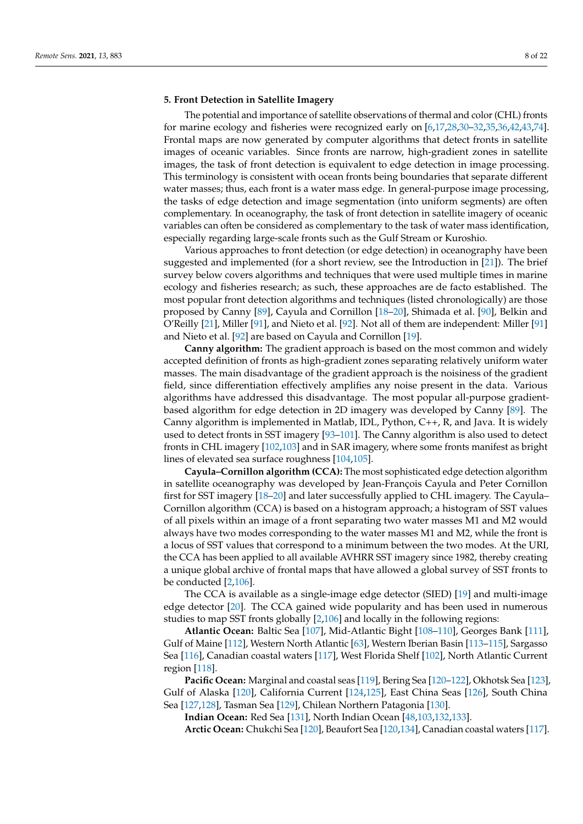#### <span id="page-7-0"></span>**5. Front Detection in Satellite Imagery**

The potential and importance of satellite observations of thermal and color (CHL) fronts for marine ecology and fisheries were recognized early on [\[6](#page-13-4)[,17](#page-14-0)[,28,](#page-14-18)[30–](#page-14-9)[32,](#page-14-10)[35](#page-15-13)[,36](#page-15-0)[,42,](#page-15-6)[43](#page-15-7)[,74\]](#page-16-9). Frontal maps are now generated by computer algorithms that detect fronts in satellite images of oceanic variables. Since fronts are narrow, high-gradient zones in satellite images, the task of front detection is equivalent to edge detection in image processing. This terminology is consistent with ocean fronts being boundaries that separate different water masses; thus, each front is a water mass edge. In general-purpose image processing, the tasks of edge detection and image segmentation (into uniform segments) are often complementary. In oceanography, the task of front detection in satellite imagery of oceanic variables can often be considered as complementary to the task of water mass identification, especially regarding large-scale fronts such as the Gulf Stream or Kuroshio.

Various approaches to front detection (or edge detection) in oceanography have been suggested and implemented (for a short review, see the Introduction in [\[21\]](#page-14-3)). The brief survey below covers algorithms and techniques that were used multiple times in marine ecology and fisheries research; as such, these approaches are de facto established. The most popular front detection algorithms and techniques (listed chronologically) are those proposed by Canny [\[89\]](#page-17-4), Cayula and Cornillon [\[18–](#page-14-1)[20\]](#page-14-2), Shimada et al. [\[90\]](#page-17-5), Belkin and O'Reilly [\[21\]](#page-14-3), Miller [\[91\]](#page-17-6), and Nieto et al. [\[92\]](#page-17-7). Not all of them are independent: Miller [\[91\]](#page-17-6) and Nieto et al. [\[92\]](#page-17-7) are based on Cayula and Cornillon [\[19\]](#page-14-19).

**Canny algorithm:** The gradient approach is based on the most common and widely accepted definition of fronts as high-gradient zones separating relatively uniform water masses. The main disadvantage of the gradient approach is the noisiness of the gradient field, since differentiation effectively amplifies any noise present in the data. Various algorithms have addressed this disadvantage. The most popular all-purpose gradientbased algorithm for edge detection in 2D imagery was developed by Canny [\[89\]](#page-17-4). The Canny algorithm is implemented in Matlab, IDL, Python, C++, R, and Java. It is widely used to detect fronts in SST imagery [\[93](#page-17-8)[–101\]](#page-17-9). The Canny algorithm is also used to detect fronts in CHL imagery [\[102,](#page-17-10)[103\]](#page-17-11) and in SAR imagery, where some fronts manifest as bright lines of elevated sea surface roughness [\[104,](#page-17-12)[105\]](#page-17-13).

**Cayula–Cornillon algorithm (CCA):** The most sophisticated edge detection algorithm in satellite oceanography was developed by Jean-François Cayula and Peter Cornillon first for SST imagery [\[18](#page-14-1)[–20\]](#page-14-2) and later successfully applied to CHL imagery. The Cayula– Cornillon algorithm (CCA) is based on a histogram approach; a histogram of SST values of all pixels within an image of a front separating two water masses M1 and M2 would always have two modes corresponding to the water masses M1 and M2, while the front is a locus of SST values that correspond to a minimum between the two modes. At the URI, the CCA has been applied to all available AVHRR SST imagery since 1982, thereby creating a unique global archive of frontal maps that have allowed a global survey of SST fronts to be conducted [\[2,](#page-13-1)[106\]](#page-17-14).

The CCA is available as a single-image edge detector (SIED) [\[19\]](#page-14-19) and multi-image edge detector [\[20\]](#page-14-2). The CCA gained wide popularity and has been used in numerous studies to map SST fronts globally [\[2](#page-13-1)[,106\]](#page-17-14) and locally in the following regions:

**Atlantic Ocean:** Baltic Sea [\[107\]](#page-17-15), Mid-Atlantic Bight [\[108](#page-17-16)[–110\]](#page-17-17), Georges Bank [\[111\]](#page-17-18), Gulf of Maine [\[112\]](#page-18-0), Western North Atlantic [\[63\]](#page-16-2), Western Iberian Basin [\[113–](#page-18-1)[115\]](#page-18-2), Sargasso Sea [\[116\]](#page-18-3), Canadian coastal waters [\[117\]](#page-18-4), West Florida Shelf [\[102\]](#page-17-10), North Atlantic Current region [\[118\]](#page-18-5).

**Pacific Ocean:** Marginal and coastal seas [\[119\]](#page-18-6), Bering Sea [\[120–](#page-18-7)[122\]](#page-18-8), Okhotsk Sea [\[123\]](#page-18-9), Gulf of Alaska [\[120\]](#page-18-7), California Current [\[124](#page-18-10)[,125\]](#page-18-11), East China Seas [\[126\]](#page-18-12), South China Sea [\[127](#page-18-13)[,128\]](#page-18-14), Tasman Sea [\[129\]](#page-18-15), Chilean Northern Patagonia [\[130\]](#page-18-16).

**Indian Ocean:** Red Sea [\[131\]](#page-18-17), North Indian Ocean [\[48,](#page-15-5)[103](#page-17-11)[,132](#page-18-18)[,133\]](#page-18-19).

**Arctic Ocean:** Chukchi Sea [\[120\]](#page-18-7), Beaufort Sea [\[120](#page-18-7)[,134\]](#page-18-20), Canadian coastal waters [\[117\]](#page-18-4).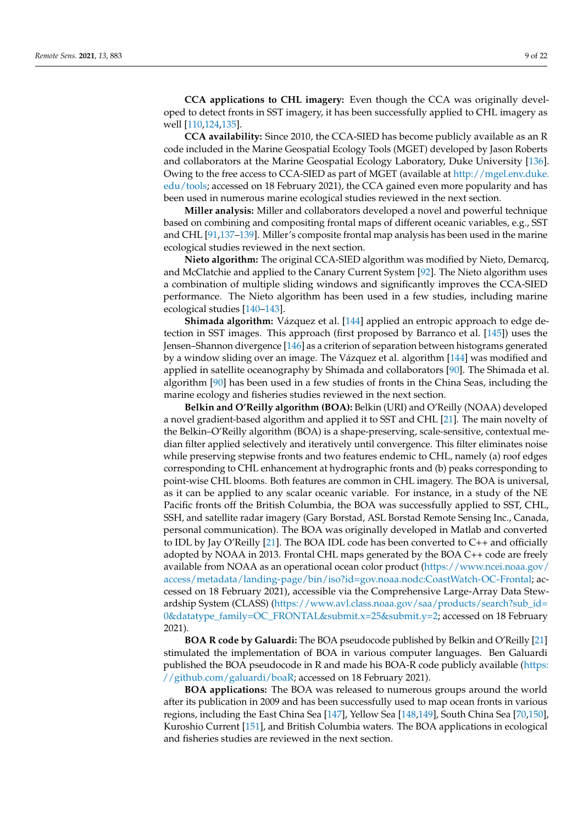**CCA applications to CHL imagery:** Even though the CCA was originally developed to detect fronts in SST imagery, it has been successfully applied to CHL imagery as well [\[110](#page-17-17)[,124](#page-18-10)[,135\]](#page-18-21).

**CCA availability:** Since 2010, the CCA-SIED has become publicly available as an R code included in the Marine Geospatial Ecology Tools (MGET) developed by Jason Roberts and collaborators at the Marine Geospatial Ecology Laboratory, Duke University [\[136\]](#page-18-22). Owing to the free access to CCA-SIED as part of MGET (available at [http://mgel.env.duke.](http://mgel.env.duke.edu/tools) [edu/tools;](http://mgel.env.duke.edu/tools) accessed on 18 February 2021), the CCA gained even more popularity and has been used in numerous marine ecological studies reviewed in the next section.

**Miller analysis:** Miller and collaborators developed a novel and powerful technique based on combining and compositing frontal maps of different oceanic variables, e.g., SST and CHL [\[91](#page-17-6)[,137–](#page-18-23)[139\]](#page-18-24). Miller's composite frontal map analysis has been used in the marine ecological studies reviewed in the next section.

**Nieto algorithm:** The original CCA-SIED algorithm was modified by Nieto, Demarcq, and McClatchie and applied to the Canary Current System [\[92\]](#page-17-7). The Nieto algorithm uses a combination of multiple sliding windows and significantly improves the CCA-SIED performance. The Nieto algorithm has been used in a few studies, including marine ecological studies [\[140–](#page-18-25)[143\]](#page-19-0).

**Shimada algorithm:** Vázquez et al. [\[144\]](#page-19-1) applied an entropic approach to edge detection in SST images. This approach (first proposed by Barranco et al. [\[145\]](#page-19-2)) uses the Jensen–Shannon divergence [\[146\]](#page-19-3) as a criterion of separation between histograms generated by a window sliding over an image. The Vázquez et al. algorithm [\[144\]](#page-19-1) was modified and applied in satellite oceanography by Shimada and collaborators [\[90\]](#page-17-5). The Shimada et al. algorithm [\[90\]](#page-17-5) has been used in a few studies of fronts in the China Seas, including the marine ecology and fisheries studies reviewed in the next section.

**Belkin and O'Reilly algorithm (BOA):** Belkin (URI) and O'Reilly (NOAA) developed a novel gradient-based algorithm and applied it to SST and CHL [\[21\]](#page-14-3). The main novelty of the Belkin–O'Reilly algorithm (BOA) is a shape-preserving, scale-sensitive, contextual median filter applied selectively and iteratively until convergence. This filter eliminates noise while preserving stepwise fronts and two features endemic to CHL, namely (a) roof edges corresponding to CHL enhancement at hydrographic fronts and (b) peaks corresponding to point-wise CHL blooms. Both features are common in CHL imagery. The BOA is universal, as it can be applied to any scalar oceanic variable. For instance, in a study of the NE Pacific fronts off the British Columbia, the BOA was successfully applied to SST, CHL, SSH, and satellite radar imagery (Gary Borstad, ASL Borstad Remote Sensing Inc., Canada, personal communication). The BOA was originally developed in Matlab and converted to IDL by Jay O'Reilly [\[21\]](#page-14-3). The BOA IDL code has been converted to C++ and officially adopted by NOAA in 2013. Frontal CHL maps generated by the BOA C++ code are freely available from NOAA as an operational ocean color product [\(https://www.ncei.noaa.gov/](https://www.ncei.noaa.gov/access/metadata/landing-page/bin/iso?id=gov.noaa.nodc:CoastWatch-OC-Frontal) [access/metadata/landing-page/bin/iso?id=gov.noaa.nodc:CoastWatch-OC-Frontal;](https://www.ncei.noaa.gov/access/metadata/landing-page/bin/iso?id=gov.noaa.nodc:CoastWatch-OC-Frontal) accessed on 18 February 2021), accessible via the Comprehensive Large-Array Data Stewardship System (CLASS) [\(https://www.avl.class.noaa.gov/saa/products/search?sub\\_id=](https://www.avl.class.noaa.gov/saa/products/search?sub_id=0&datatype_family=OC_FRONTAL&submit.x=25&submit.y=2) [0&datatype\\_family=OC\\_FRONTAL&submit.x=25&submit.y=2;](https://www.avl.class.noaa.gov/saa/products/search?sub_id=0&datatype_family=OC_FRONTAL&submit.x=25&submit.y=2) accessed on 18 February 2021).

**BOA R code by Galuardi:** The BOA pseudocode published by Belkin and O'Reilly [\[21\]](#page-14-3) stimulated the implementation of BOA in various computer languages. Ben Galuardi published the BOA pseudocode in R and made his BOA-R code publicly available [\(https:](https://github.com/galuardi/boaR) [//github.com/galuardi/boaR;](https://github.com/galuardi/boaR) accessed on 18 February 2021).

**BOA applications:** The BOA was released to numerous groups around the world after its publication in 2009 and has been successfully used to map ocean fronts in various regions, including the East China Sea [\[147\]](#page-19-4), Yellow Sea [\[148](#page-19-5)[,149\]](#page-19-6), South China Sea [\[70](#page-16-5)[,150\]](#page-19-7), Kuroshio Current [\[151\]](#page-19-8), and British Columbia waters. The BOA applications in ecological and fisheries studies are reviewed in the next section.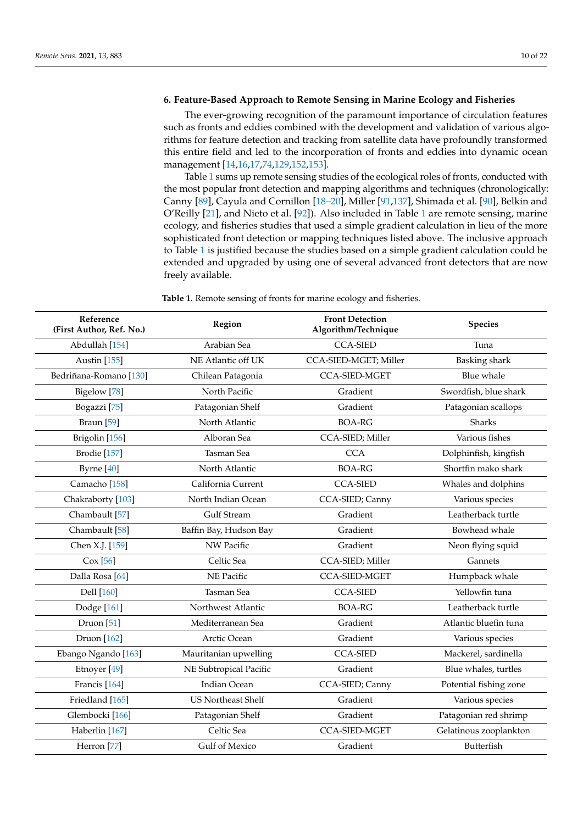## <span id="page-9-0"></span>**6. Feature-Based Approach to Remote Sensing in Marine Ecology and Fisheries**

The ever-growing recognition of the paramount importance of circulation features such as fronts and eddies combined with the development and validation of various algorithms for feature detection and tracking from satellite data have profoundly transformed this entire field and led to the incorporation of fronts and eddies into dynamic ocean management [\[14,](#page-14-17)[16](#page-14-20)[,17](#page-14-0)[,74](#page-16-9)[,129](#page-18-15)[,152,](#page-19-9)[153\]](#page-19-10).

Table [1](#page-11-1) sums up remote sensing studies of the ecological roles of fronts, conducted with the most popular front detection and mapping algorithms and techniques (chronologically: Canny [\[89\]](#page-17-4), Cayula and Cornillon [\[18–](#page-14-1)[20\]](#page-14-2), Miller [\[91,](#page-17-6)[137\]](#page-18-23), Shimada et al. [\[90\]](#page-17-5), Belkin and O'Reilly [\[21\]](#page-14-3), and Nieto et al. [\[92\]](#page-17-7)). Also included in Table [1](#page-11-1) are remote sensing, marine ecology, and fisheries studies that used a simple gradient calculation in lieu of the more sophisticated front detection or mapping techniques listed above. The inclusive approach to Table [1](#page-11-1) is justified because the studies based on a simple gradient calculation could be extended and upgraded by using one of several advanced front detectors that are now freely available.

**Table 1.** Remote sensing of fronts for marine ecology and fisheries.

| Reference<br>(First Author, Ref. No.) | Region                    | <b>Front Detection</b><br>Algorithm/Technique | <b>Species</b>         |
|---------------------------------------|---------------------------|-----------------------------------------------|------------------------|
| Abdullah [154]                        | Arabian Sea               | <b>CCA-SIED</b>                               | Tuna                   |
| Austin [155]                          | NE Atlantic off UK        | CCA-SIED-MGET; Miller                         | <b>Basking</b> shark   |
| Bedriñana-Romano [130]                | Chilean Patagonia         | <b>CCA-SIED-MGET</b>                          | <b>Blue</b> whale      |
| Bigelow <sup>[78]</sup>               | North Pacific             | Gradient                                      | Swordfish, blue shark  |
| Bogazzi <sup>[75]</sup>               | Patagonian Shelf          | Gradient                                      | Patagonian scallops    |
| Braun <sup>[59]</sup>                 | North Atlantic            | <b>BOA-RG</b>                                 | Sharks                 |
| Brigolin [156]                        | Alboran Sea               | CCA-SIED; Miller                              | Various fishes         |
| Brodie [157]                          | Tasman Sea                | <b>CCA</b>                                    | Dolphinfish, kingfish  |
| Byrne [40]                            | North Atlantic            | <b>BOA-RG</b>                                 | Shortfin mako shark    |
| Camacho <sup>[158]</sup>              | California Current        | <b>CCA-SIED</b>                               | Whales and dolphins    |
| Chakraborty [103]                     | North Indian Ocean        | CCA-SIED; Canny                               | Various species        |
| Chambault [57]                        | <b>Gulf Stream</b>        | Gradient                                      | Leatherback turtle     |
| Chambault [58]                        | Baffin Bay, Hudson Bay    | Gradient                                      | Bowhead whale          |
| Chen X.J. [159]                       | NW Pacific                | Gradient                                      | Neon flying squid      |
| Cox [56]                              | Celtic Sea                | CCA-SIED; Miller                              | Gannets                |
| Dalla Rosa <sup>[64]</sup>            | NE Pacific                | <b>CCA-SIED-MGET</b>                          | Humpback whale         |
| Dell [160]                            | <b>Tasman</b> Sea         | <b>CCA-SIED</b>                               | Yellowfin tuna         |
| Dodge [161]                           | Northwest Atlantic        | <b>BOA-RG</b>                                 | Leatherback turtle     |
| Druon [51]                            | Mediterranean Sea         | Gradient                                      | Atlantic bluefin tuna  |
| Druon [162]                           | Arctic Ocean              | Gradient                                      | Various species        |
| Ebango Ngando [163]                   | Mauritanian upwelling     | <b>CCA-SIED</b>                               | Mackerel, sardinella   |
| Etnoyer [49]                          | NE Subtropical Pacific    | Gradient                                      | Blue whales, turtles   |
| Francis [164]                         | <b>Indian Ocean</b>       | CCA-SIED; Canny                               | Potential fishing zone |
| Friedland [165]                       | <b>US Northeast Shelf</b> | Gradient                                      | Various species        |
| Glembocki [166]                       | Patagonian Shelf          | Gradient                                      | Patagonian red shrimp  |
| Haberlin [167]                        | Celtic Sea                | <b>CCA-SIED-MGET</b>                          | Gelatinous zooplankton |
| Herron [77]                           | Gulf of Mexico            | Gradient                                      | Butterfish             |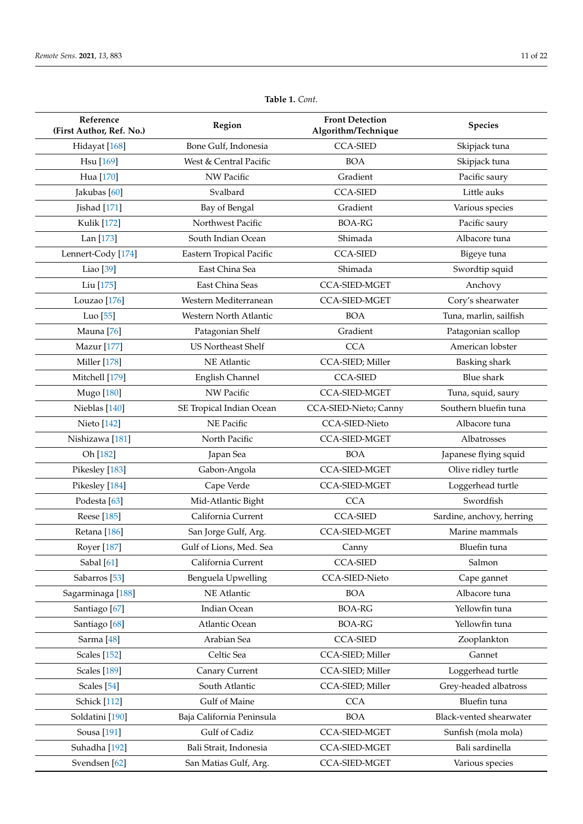| Reference<br>(First Author, Ref. No.) | Region                    | <b>Front Detection</b><br>Algorithm/Technique | <b>Species</b>            |
|---------------------------------------|---------------------------|-----------------------------------------------|---------------------------|
| Hidayat [168]                         | Bone Gulf, Indonesia      | <b>CCA-SIED</b>                               | Skipjack tuna             |
| Hsu [169]                             | West & Central Pacific    | <b>BOA</b>                                    | Skipjack tuna             |
| Hua [170]                             | NW Pacific                | Gradient                                      | Pacific saury             |
| Jakubas [60]                          | Svalbard                  | <b>CCA-SIED</b>                               | Little auks               |
| Jishad [171]                          | Bay of Bengal             | Gradient                                      | Various species           |
| <b>Kulik</b> [172]                    | Northwest Pacific         | <b>BOA-RG</b>                                 | Pacific saury             |
| Lan [173]                             | South Indian Ocean        | Shimada                                       | Albacore tuna             |
| Lennert-Cody [174]                    | Eastern Tropical Pacific  | <b>CCA-SIED</b>                               | Bigeye tuna               |
| Liao [39]                             | East China Sea            | Shimada                                       | Swordtip squid            |
| Liu <sup>[175]</sup>                  | East China Seas           | <b>CCA-SIED-MGET</b>                          | Anchovy                   |
| Louzao <sup>[176]</sup>               | Western Mediterranean     | <b>CCA-SIED-MGET</b>                          | Cory's shearwater         |
| Luo <sup>[55]</sup>                   | Western North Atlantic    | <b>BOA</b>                                    | Tuna, marlin, sailfish    |
| Mauna <sup>[76]</sup>                 | Patagonian Shelf          | Gradient                                      | Patagonian scallop        |
| Mazur [177]                           | <b>US Northeast Shelf</b> | <b>CCA</b>                                    | American lobster          |
| Miller [178]                          | NE Atlantic               | CCA-SIED; Miller                              | Basking shark             |
| Mitchell [179]                        | English Channel           | <b>CCA-SIED</b>                               | <b>Blue</b> shark         |
| Mugo [180]                            | NW Pacific                | <b>CCA-SIED-MGET</b>                          | Tuna, squid, saury        |
| Nieblas [140]                         | SE Tropical Indian Ocean  | CCA-SIED-Nieto; Canny                         | Southern bluefin tuna     |
| Nieto [142]                           | NE Pacific                | <b>CCA-SIED-Nieto</b>                         | Albacore tuna             |
| Nishizawa <sup>[181]</sup>            | North Pacific             | <b>CCA-SIED-MGET</b>                          | Albatrosses               |
| Oh [182]                              | Japan Sea                 | <b>BOA</b>                                    | Japanese flying squid     |
| Pikesley [183]                        | Gabon-Angola              | <b>CCA-SIED-MGET</b>                          | Olive ridley turtle       |
| Pikesley [184]                        | Cape Verde                | <b>CCA-SIED-MGET</b>                          | Loggerhead turtle         |
| Podesta <sup>[63]</sup>               | Mid-Atlantic Bight        | <b>CCA</b>                                    | Swordfish                 |
| Reese [185]                           | California Current        | <b>CCA-SIED</b>                               | Sardine, anchovy, herring |
| Retana <sup>[186]</sup>               | San Jorge Gulf, Arg.      | <b>CCA-SIED-MGET</b>                          | Marine mammals            |
| Royer [187]                           | Gulf of Lions, Med. Sea   | Canny                                         | Bluefin tuna              |
| Sabal [61]                            | California Current        | <b>CCA-SIED</b>                               | Salmon                    |
| Sabarros <sup>[53]</sup>              | Benguela Upwelling        | CCA-SIED-Nieto                                | Cape gannet               |
| Sagarminaga <sup>[188]</sup>          | NE Atlantic               | <b>BOA</b>                                    | Albacore tuna             |
| Santiago <sup>[67]</sup>              | Indian Ocean              | <b>BOA-RG</b>                                 | Yellowfin tuna            |
| Santiago <sup>[68]</sup>              | Atlantic Ocean            | <b>BOA-RG</b>                                 | Yellowfin tuna            |
| Sarma <sup>[48]</sup>                 | Arabian Sea               | <b>CCA-SIED</b>                               | Zooplankton               |
| <b>Scales</b> [152]                   | Celtic Sea                | CCA-SIED; Miller                              | Gannet                    |
| <b>Scales</b> [189]                   | Canary Current            | CCA-SIED; Miller                              | Loggerhead turtle         |
| Scales <sup>[54]</sup>                | South Atlantic            | CCA-SIED; Miller                              | Grey-headed albatross     |
| Schick [112]                          | Gulf of Maine             | <b>CCA</b>                                    | Bluefin tuna              |
| Soldatini [190]                       | Baja California Peninsula | <b>BOA</b>                                    | Black-vented shearwater   |
| Sousa [191]                           | Gulf of Cadiz             | CCA-SIED-MGET                                 | Sunfish (mola mola)       |
| Suhadha [192]                         | Bali Strait, Indonesia    | <b>CCA-SIED-MGET</b>                          | Bali sardinella           |
| Svendsen [62]                         | San Matias Gulf, Arg.     | <b>CCA-SIED-MGET</b>                          | Various species           |

# **Table 1.** *Cont.*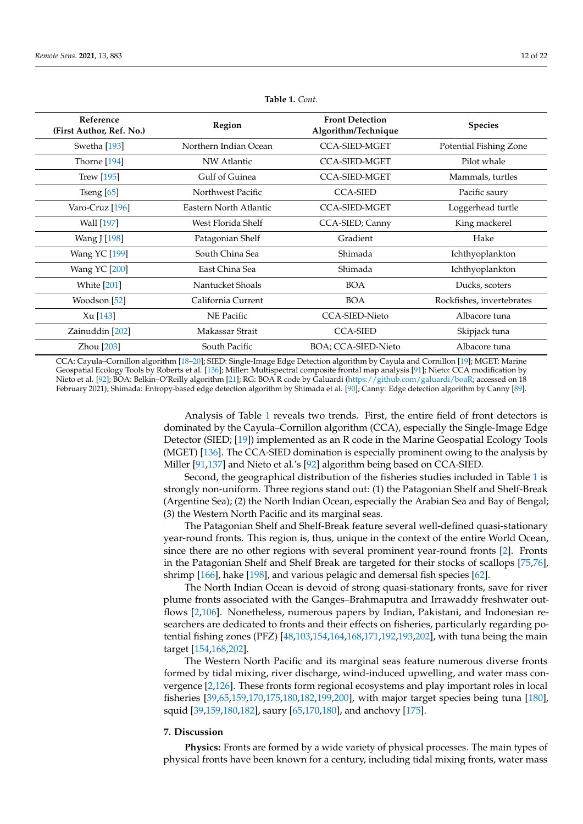<span id="page-11-1"></span>

| Reference<br>(First Author, Ref. No.) | Region                 | <b>Front Detection</b><br>Algorithm/Technique | <b>Species</b>            |
|---------------------------------------|------------------------|-----------------------------------------------|---------------------------|
| Swetha [193]                          | Northern Indian Ocean  | <b>CCA-SIED-MGET</b>                          | Potential Fishing Zone    |
| Thorne [194]                          | NW Atlantic            | <b>CCA-SIED-MGET</b>                          | Pilot whale               |
| <b>Trew</b> [195]                     | Gulf of Guinea         | <b>CCA-SIED-MGET</b>                          | Mammals, turtles          |
| Tseng $[65]$                          | Northwest Pacific      | <b>CCA-SIED</b>                               | Pacific saury             |
| Varo-Cruz [196]                       | Eastern North Atlantic | <b>CCA-SIED-MGET</b>                          | Loggerhead turtle         |
| Wall [197]                            | West Florida Shelf     | CCA-SIED; Canny                               | King mackerel             |
| Wang J [198]                          | Patagonian Shelf       | Gradient                                      | Hake                      |
| <b>Wang YC</b> [199]                  | South China Sea        | Shimada                                       | Ichthyoplankton           |
| <b>Wang YC</b> [200]                  | East China Sea         | Shimada                                       | Ichthyoplankton           |
| <b>White</b> [201]                    | Nantucket Shoals       | <b>BOA</b>                                    | Ducks, scoters            |
| Woodson [52]                          | California Current     | <b>BOA</b>                                    | Rockfishes, invertebrates |
| Xu [143]                              | NE Pacific             | <b>CCA-SIED-Nieto</b>                         | Albacore tuna             |
| Zainuddin [202]                       | Makassar Strait        | <b>CCA-SIED</b>                               | Skipjack tuna             |
| Zhou [203]                            | South Pacific          | BOA; CCA-SIED-Nieto                           | Albacore tuna             |

**Table 1.** *Cont.*

CCA: Cayula–Cornillon algorithm [\[18](#page-14-1)[–20\]](#page-14-2); SIED: Single-Image Edge Detection algorithm by Cayula and Cornillon [\[19\]](#page-14-19); MGET: Marine Geospatial Ecology Tools by Roberts et al. [\[136\]](#page-18-22); Miller: Multispectral composite frontal map analysis [\[91\]](#page-17-6); Nieto: CCA modification by Nieto et al. [\[92\]](#page-17-7); BOA: Belkin–O'Reilly algorithm [\[21\]](#page-14-3); RG: BOA R code by Galuardi [\(https://github.com/galuardi/boaR;](https://github.com/galuardi/boaR) accessed on 18 February 2021); Shimada: Entropy-based edge detection algorithm by Shimada et al. [\[90\]](#page-17-5); Canny: Edge detection algorithm by Canny [\[89\]](#page-17-4).

> Analysis of Table [1](#page-11-1) reveals two trends. First, the entire field of front detectors is dominated by the Cayula–Cornillon algorithm (CCA), especially the Single-Image Edge Detector (SIED; [\[19\]](#page-14-19)) implemented as an R code in the Marine Geospatial Ecology Tools (MGET) [\[136\]](#page-18-22). The CCA-SIED domination is especially prominent owing to the analysis by Miller [\[91](#page-17-6)[,137\]](#page-18-23) and Nieto et al.'s [\[92\]](#page-17-7) algorithm being based on CCA-SIED.

> Second, the geographical distribution of the fisheries studies included in Table [1](#page-11-1) is strongly non-uniform. Three regions stand out: (1) the Patagonian Shelf and Shelf-Break (Argentine Sea); (2) the North Indian Ocean, especially the Arabian Sea and Bay of Bengal; (3) the Western North Pacific and its marginal seas.

> The Patagonian Shelf and Shelf-Break feature several well-defined quasi-stationary year-round fronts. This region is, thus, unique in the context of the entire World Ocean, since there are no other regions with several prominent year-round fronts [\[2\]](#page-13-1). Fronts in the Patagonian Shelf and Shelf Break are targeted for their stocks of scallops [\[75,](#page-16-10)[76\]](#page-16-11), shrimp [\[166\]](#page-19-23), hake [\[198\]](#page-21-5), and various pelagic and demersal fish species [\[62\]](#page-16-1).

> The North Indian Ocean is devoid of strong quasi-stationary fronts, save for river plume fronts associated with the Ganges–Brahmaputra and Irrawaddy freshwater outflows [\[2,](#page-13-1)[106\]](#page-17-14). Nonetheless, numerous papers by Indian, Pakistani, and Indonesian researchers are dedicated to fronts and their effects on fisheries, particularly regarding potential fishing zones (PFZ) [\[48,](#page-15-5)[103](#page-17-11)[,154](#page-19-11)[,164](#page-19-21)[,168](#page-20-0)[,171](#page-20-3)[,192,](#page-20-24)[193,](#page-21-0)[202\]](#page-21-9), with tuna being the main target [\[154,](#page-19-11)[168](#page-20-0)[,202\]](#page-21-9).

> The Western North Pacific and its marginal seas feature numerous diverse fronts formed by tidal mixing, river discharge, wind-induced upwelling, and water mass convergence [\[2](#page-13-1)[,126\]](#page-18-12). These fronts form regional ecosystems and play important roles in local fisheries [\[39](#page-15-17)[,65](#page-16-25)[,159](#page-19-16)[,170](#page-20-2)[,175](#page-20-7)[,180](#page-20-12)[,182](#page-20-14)[,199](#page-21-6)[,200\]](#page-21-7), with major target species being tuna [\[180\]](#page-20-12), squid [\[39](#page-15-17)[,159](#page-19-16)[,180,](#page-20-12)[182\]](#page-20-14), saury [\[65](#page-16-25)[,170](#page-20-2)[,180\]](#page-20-12), and anchovy [\[175\]](#page-20-7).

## <span id="page-11-0"></span>**7. Discussion**

**Physics:** Fronts are formed by a wide variety of physical processes. The main types of physical fronts have been known for a century, including tidal mixing fronts, water mass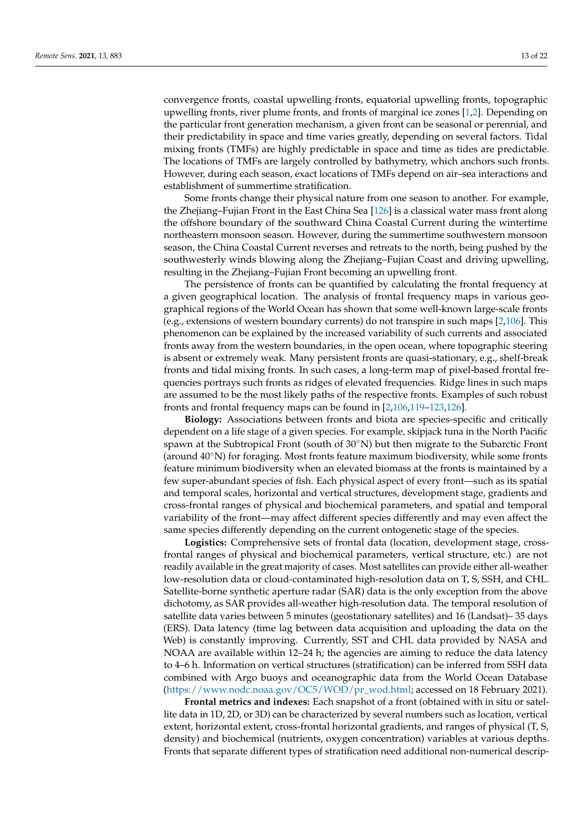convergence fronts, coastal upwelling fronts, equatorial upwelling fronts, topographic upwelling fronts, river plume fronts, and fronts of marginal ice zones [\[1](#page-13-0)[,2\]](#page-13-1). Depending on the particular front generation mechanism, a given front can be seasonal or perennial, and their predictability in space and time varies greatly, depending on several factors. Tidal

mixing fronts (TMFs) are highly predictable in space and time as tides are predictable. The locations of TMFs are largely controlled by bathymetry, which anchors such fronts. However, during each season, exact locations of TMFs depend on air–sea interactions and establishment of summertime stratification.

Some fronts change their physical nature from one season to another. For example, the Zhejiang–Fujian Front in the East China Sea [\[126\]](#page-18-12) is a classical water mass front along the offshore boundary of the southward China Coastal Current during the wintertime northeastern monsoon season. However, during the summertime southwestern monsoon season, the China Coastal Current reverses and retreats to the north, being pushed by the southwesterly winds blowing along the Zhejiang–Fujian Coast and driving upwelling, resulting in the Zhejiang–Fujian Front becoming an upwelling front.

The persistence of fronts can be quantified by calculating the frontal frequency at a given geographical location. The analysis of frontal frequency maps in various geographical regions of the World Ocean has shown that some well-known large-scale fronts (e.g., extensions of western boundary currents) do not transpire in such maps [\[2,](#page-13-1)[106\]](#page-17-14). This phenomenon can be explained by the increased variability of such currents and associated fronts away from the western boundaries, in the open ocean, where topographic steering is absent or extremely weak. Many persistent fronts are quasi-stationary, e.g., shelf-break fronts and tidal mixing fronts. In such cases, a long-term map of pixel-based frontal frequencies portrays such fronts as ridges of elevated frequencies. Ridge lines in such maps are assumed to be the most likely paths of the respective fronts. Examples of such robust fronts and frontal frequency maps can be found in [\[2](#page-13-1)[,106](#page-17-14)[,119–](#page-18-6)[123,](#page-18-9)[126\]](#page-18-12).

**Biology:** Associations between fronts and biota are species-specific and critically dependent on a life stage of a given species. For example, skipjack tuna in the North Pacific spawn at the Subtropical Front (south of  $30°N$ ) but then migrate to the Subarctic Front (around 40◦N) for foraging. Most fronts feature maximum biodiversity, while some fronts feature minimum biodiversity when an elevated biomass at the fronts is maintained by a few super-abundant species of fish. Each physical aspect of every front—such as its spatial and temporal scales, horizontal and vertical structures, development stage, gradients and cross-frontal ranges of physical and biochemical parameters, and spatial and temporal variability of the front—may affect different species differently and may even affect the same species differently depending on the current ontogenetic stage of the species.

**Logistics:** Comprehensive sets of frontal data (location, development stage, crossfrontal ranges of physical and biochemical parameters, vertical structure, etc.) are not readily available in the great majority of cases. Most satellites can provide either all-weather low-resolution data or cloud-contaminated high-resolution data on T, S, SSH, and CHL. Satellite-borne synthetic aperture radar (SAR) data is the only exception from the above dichotomy, as SAR provides all-weather high-resolution data. The temporal resolution of satellite data varies between 5 minutes (geostationary satellites) and 16 (Landsat)– 35 days (ERS). Data latency (time lag between data acquisition and uploading the data on the Web) is constantly improving. Currently, SST and CHL data provided by NASA and NOAA are available within 12–24 h; the agencies are aiming to reduce the data latency to 4–6 h. Information on vertical structures (stratification) can be inferred from SSH data combined with Argo buoys and oceanographic data from the World Ocean Database [\(https://www.nodc.noaa.gov/OC5/WOD/pr\\_wod.html;](https://www.nodc.noaa.gov/OC5/WOD/pr_wod.html) accessed on 18 February 2021).

**Frontal metrics and indexes:** Each snapshot of a front (obtained with in situ or satellite data in 1D, 2D, or 3D) can be characterized by several numbers such as location, vertical extent, horizontal extent, cross-frontal horizontal gradients, and ranges of physical (T, S, density) and biochemical (nutrients, oxygen concentration) variables at various depths. Fronts that separate different types of stratification need additional non-numerical descrip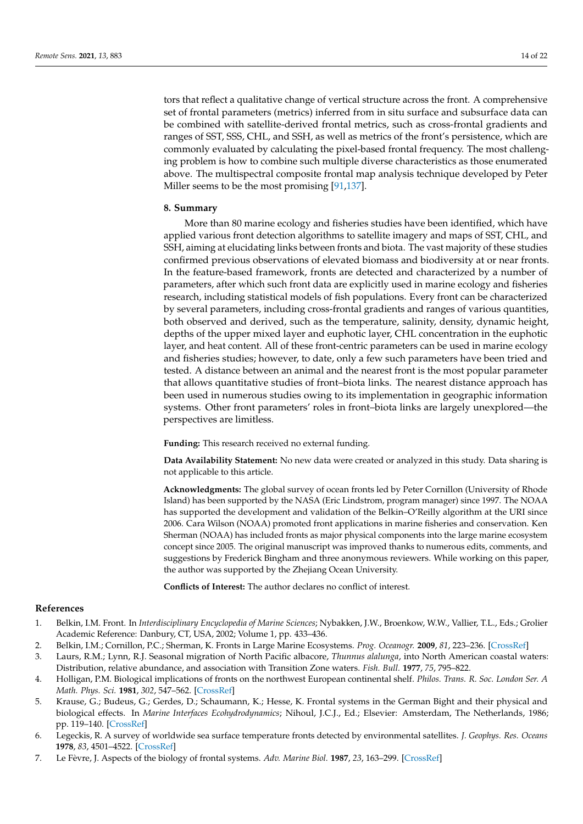tors that reflect a qualitative change of vertical structure across the front. A comprehensive set of frontal parameters (metrics) inferred from in situ surface and subsurface data can be combined with satellite-derived frontal metrics, such as cross-frontal gradients and ranges of SST, SSS, CHL, and SSH, as well as metrics of the front's persistence, which are commonly evaluated by calculating the pixel-based frontal frequency. The most challenging problem is how to combine such multiple diverse characteristics as those enumerated above. The multispectral composite frontal map analysis technique developed by Peter Miller seems to be the most promising [\[91](#page-17-6)[,137\]](#page-18-23).

#### <span id="page-13-2"></span>**8. Summary**

More than 80 marine ecology and fisheries studies have been identified, which have applied various front detection algorithms to satellite imagery and maps of SST, CHL, and SSH, aiming at elucidating links between fronts and biota. The vast majority of these studies confirmed previous observations of elevated biomass and biodiversity at or near fronts. In the feature-based framework, fronts are detected and characterized by a number of parameters, after which such front data are explicitly used in marine ecology and fisheries research, including statistical models of fish populations. Every front can be characterized by several parameters, including cross-frontal gradients and ranges of various quantities, both observed and derived, such as the temperature, salinity, density, dynamic height, depths of the upper mixed layer and euphotic layer, CHL concentration in the euphotic layer, and heat content. All of these front-centric parameters can be used in marine ecology and fisheries studies; however, to date, only a few such parameters have been tried and tested. A distance between an animal and the nearest front is the most popular parameter that allows quantitative studies of front–biota links. The nearest distance approach has been used in numerous studies owing to its implementation in geographic information systems. Other front parameters' roles in front–biota links are largely unexplored—the perspectives are limitless.

**Funding:** This research received no external funding.

**Data Availability Statement:** No new data were created or analyzed in this study. Data sharing is not applicable to this article.

**Acknowledgments:** The global survey of ocean fronts led by Peter Cornillon (University of Rhode Island) has been supported by the NASA (Eric Lindstrom, program manager) since 1997. The NOAA has supported the development and validation of the Belkin–O'Reilly algorithm at the URI since 2006. Cara Wilson (NOAA) promoted front applications in marine fisheries and conservation. Ken Sherman (NOAA) has included fronts as major physical components into the large marine ecosystem concept since 2005. The original manuscript was improved thanks to numerous edits, comments, and suggestions by Frederick Bingham and three anonymous reviewers. While working on this paper, the author was supported by the Zhejiang Ocean University.

**Conflicts of Interest:** The author declares no conflict of interest.

#### **References**

- <span id="page-13-0"></span>1. Belkin, I.M. Front. In *Interdisciplinary Encyclopedia of Marine Sciences*; Nybakken, J.W., Broenkow, W.W., Vallier, T.L., Eds.; Grolier Academic Reference: Danbury, CT, USA, 2002; Volume 1, pp. 433–436.
- <span id="page-13-1"></span>2. Belkin, I.M.; Cornillon, P.C.; Sherman, K. Fronts in Large Marine Ecosystems. *Prog. Oceanogr.* **2009**, *81*, 223–236. [\[CrossRef\]](http://doi.org/10.1016/j.pocean.2009.04.015)
- <span id="page-13-3"></span>3. Laurs, R.M.; Lynn, R.J. Seasonal migration of North Pacific albacore, *Thunnus alalunga*, into North American coastal waters: Distribution, relative abundance, and association with Transition Zone waters. *Fish. Bull.* **1977**, *75*, 795–822.
- 4. Holligan, P.M. Biological implications of fronts on the northwest European continental shelf. *Philos. Trans. R. Soc. London Ser. A Math. Phys. Sci.* **1981**, *302*, 547–562. [\[CrossRef\]](http://doi.org/10.1098/rsta.1981.0182)
- 5. Krause, G.; Budeus, G.; Gerdes, D.; Schaumann, K.; Hesse, K. Frontal systems in the German Bight and their physical and biological effects. In *Marine Interfaces Ecohydrodynamics*; Nihoul, J.C.J., Ed.; Elsevier: Amsterdam, The Netherlands, 1986; pp. 119–140. [\[CrossRef\]](http://doi.org/10.1016/S0422-9894(08)71042-0)
- <span id="page-13-4"></span>6. Legeckis, R. A survey of worldwide sea surface temperature fronts detected by environmental satellites. *J. Geophys. Res. Oceans* **1978**, *83*, 4501–4522. [\[CrossRef\]](http://doi.org/10.1029/JC083iC09p04501)
- 7. Le Fèvre, J. Aspects of the biology of frontal systems. *Adv. Marine Biol.* **1987**, *23*, 163–299. [\[CrossRef\]](http://doi.org/10.1016/S0065-2881(08)60109-1)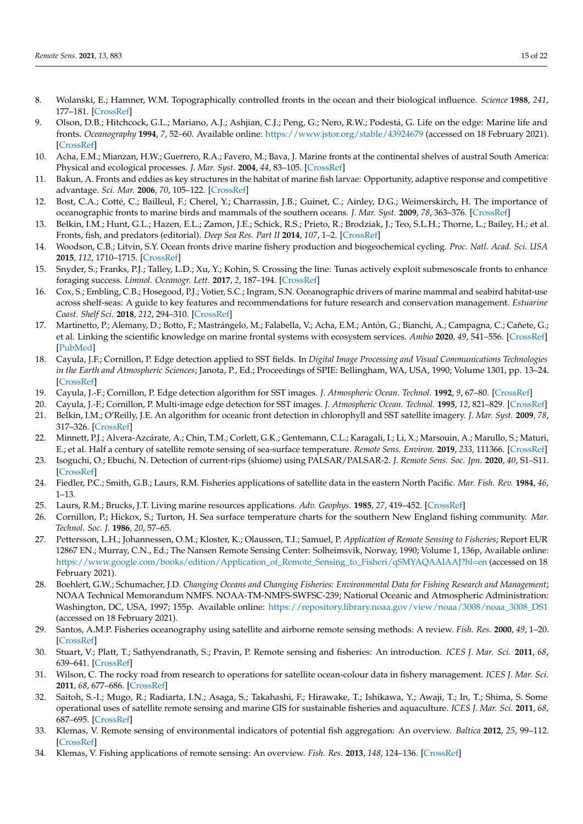- 8. Wolanski, E.; Hamner, W.M. Topographically controlled fronts in the ocean and their biological influence. *Science* **1988**, *241*, 177–181. [\[CrossRef\]](http://doi.org/10.1126/science.241.4862.177)
- <span id="page-14-13"></span>9. Olson, D.B.; Hitchcock, G.L.; Mariano, A.J.; Ashjian, C.J.; Peng, G.; Nero, R.W.; Podestá, G. Life on the edge: Marine life and fronts. *Oceanography* **1994**, *7*, 52–60. Available online: <https://www.jstor.org/stable/43924679> (accessed on 18 February 2021). [\[CrossRef\]](http://doi.org/10.5670/oceanog.1994.03)
- 10. Acha, E.M.; Mianzan, H.W.; Guerrero, R.A.; Favero, M.; Bava, J. Marine fronts at the continental shelves of austral South America: Physical and ecological processes. *J. Mar. Syst.* **2004**, *44*, 83–105. [\[CrossRef\]](http://doi.org/10.1016/j.jmarsys.2003.09.005)
- <span id="page-14-14"></span>11. Bakun, A. Fronts and eddies as key structures in the habitat of marine fish larvae: Opportunity, adaptive response and competitive advantage. *Sci. Mar.* **2006**, *70*, 105–122. [\[CrossRef\]](http://doi.org/10.3989/scimar.2006.70s2105)
- <span id="page-14-15"></span>12. Bost, C.A.; Cotté, C.; Bailleul, F.; Cherel, Y.; Charrassin, J.B.; Guinet, C.; Ainley, D.G.; Weimerskirch, H. The importance of oceanographic fronts to marine birds and mammals of the southern oceans. *J. Mar. Syst.* **2009**, *78*, 363–376. [\[CrossRef\]](http://doi.org/10.1016/j.jmarsys.2008.11.022)
- 13. Belkin, I.M.; Hunt, G.L.; Hazen, E.L.; Zamon, J.E.; Schick, R.S.; Prieto, R.; Brodziak, J.; Teo, S.L.H.; Thorne, L.; Bailey, H.; et al. Fronts, fish, and predators (editorial). *Deep Sea Res. Part II* **2014**, *107*, 1–2. [\[CrossRef\]](http://doi.org/10.1016/j.dsr2.2014.07.009)
- <span id="page-14-17"></span>14. Woodson, C.B.; Litvin, S.Y. Ocean fronts drive marine fishery production and biogeochemical cycling. *Proc. Natl. Acad. Sci. USA* **2015**, *112*, 1710–1715. [\[CrossRef\]](http://doi.org/10.1073/pnas.1417143112)
- <span id="page-14-16"></span>15. Snyder, S.; Franks, P.J.; Talley, L.D.; Xu, Y.; Kohin, S. Crossing the line: Tunas actively exploit submesoscale fronts to enhance foraging success. *Limnol. Oceanogr. Lett.* **2017**, *2*, 187–194. [\[CrossRef\]](http://doi.org/10.1002/lol2.10049)
- <span id="page-14-20"></span>16. Cox, S.; Embling, C.B.; Hosegood, P.J.; Votier, S.C.; Ingram, S.N. Oceanographic drivers of marine mammal and seabird habitat-use across shelf-seas: A guide to key features and recommendations for future research and conservation management. *Estuarine Coast. Shelf Sci.* **2018**, *212*, 294–310. [\[CrossRef\]](http://doi.org/10.1016/j.ecss.2018.06.022)
- <span id="page-14-0"></span>17. Martinetto, P.; Alemany, D.; Botto, F.; Mastrángelo, M.; Falabella, V.; Acha, E.M.; Antón, G.; Bianchi, A.; Campagna, C.; Cañete, G.; et al. Linking the scientific knowledge on marine frontal systems with ecosystem services. *Ambio* **2020**, *49*, 541–556. [\[CrossRef\]](http://doi.org/10.1007/s13280-019-01222-w) [\[PubMed\]](http://www.ncbi.nlm.nih.gov/pubmed/31301003)
- <span id="page-14-1"></span>18. Cayula, J.F.; Cornillon, P. Edge detection applied to SST fields. In *Digital Image Processing and Visual Communications Technologies in the Earth and Atmospheric Sciences*; Janota, P., Ed.; Proceedings of SPIE: Bellingham, WA, USA, 1990; Volume 1301, pp. 13–24. [\[CrossRef\]](http://doi.org/10.1117/12.21410)
- <span id="page-14-19"></span>19. Cayula, J.-F.; Cornillon, P. Edge detection algorithm for SST images. *J. Atmospheric Ocean. Technol.* **1992**, *9*, 67–80. [\[CrossRef\]](http://doi.org/10.1175/1520-0426(1992)009<0067:EDAFSI>2.0.CO;2)
- <span id="page-14-2"></span>20. Cayula, J.-F.; Cornillon, P. Multi-image edge detection for SST images. *J. Atmospheric Ocean. Technol.* **1995**, *12*, 821–829. [\[CrossRef\]](http://doi.org/10.1175/1520-0426(1995)012<0821:MIEDFS>2.0.CO;2)
- <span id="page-14-3"></span>21. Belkin, I.M.; O'Reilly, J.E. An algorithm for oceanic front detection in chlorophyll and SST satellite imagery. *J. Mar. Syst.* **2009**, *78*, 317–326. [\[CrossRef\]](http://doi.org/10.1016/j.jmarsys.2008.10.016)
- <span id="page-14-4"></span>22. Minnett, P.J.; Alvera-Azcárate, A.; Chin, T.M.; Corlett, G.K.; Gentemann, C.L.; Karagali, I.; Li, X.; Marsouin, A.; Marullo, S.; Maturi, E.; et al. Half a century of satellite remote sensing of sea-surface temperature. *Remote Sens. Environ.* **2019**, *233*, 111366. [\[CrossRef\]](http://doi.org/10.1016/j.rse.2019.111366)
- <span id="page-14-5"></span>23. Isoguchi, O.; Ebuchi, N. Detection of current-rips (shiome) using PALSAR/PALSAR-2. *J. Remote Sens. Soc. Jpn.* **2020**, *40*, S1–S11. [\[CrossRef\]](http://doi.org/10.11440/rssj.36.534)
- <span id="page-14-6"></span>24. Fiedler, P.C.; Smith, G.B.; Laurs, R.M. Fisheries applications of satellite data in the eastern North Pacific. *Mar. Fish. Rev.* **1984**, *46*, 1–13.
- <span id="page-14-8"></span>25. Laurs, R.M.; Brucks, J.T. Living marine resources applications. *Adv. Geophys.* **1985**, *27*, 419–452. [\[CrossRef\]](http://doi.org/10.1016/S0065-2687(08)60411-2)
- 26. Cornillon, P.; Hickox, S.; Turton, H. Sea surface temperature charts for the southern New England fishing community. *Mar. Technol. Soc. J.* **1986**, *20*, 57–65.
- <span id="page-14-11"></span>27. Pettersson, L.H.; Johannessen, O.M.; Kloster, K.; Olaussen, T.I.; Samuel, P. *Application of Remote Sensing to Fisheries*; Report EUR 12867 EN.; Murray, C.N., Ed.; The Nansen Remote Sensing Center: Solheimsvik, Norway, 1990; Volume 1, 136p, Available online: [https://www.google.com/books/edition/Application\\_of\\_Remote\\_Sensing\\_to\\_Fisheri/qSMYAQAAIAAJ?hl=en](https://www.google.com/books/edition/Application_of_Remote_Sensing_to_Fisheri/qSMYAQAAIAAJ?hl=en) (accessed on 18 February 2021).
- <span id="page-14-18"></span>28. Boehlert, G.W.; Schumacher, J.D. *Changing Oceans and Changing Fisheries: Environmental Data for Fishing Research and Management*; NOAA Technical Memorandum NMFS. NOAA-TM-NMFS-SWFSC-239; National Oceanic and Atmospheric Administration: Washington, DC, USA, 1997; 155p. Available online: [https://repository.library.noaa.gov/view/noaa/3008/noaa\\_3008\\_DS1](https://repository.library.noaa.gov/view/noaa/3008/noaa_3008_DS1) (accessed on 18 February 2021).
- <span id="page-14-12"></span>29. Santos, A.M.P. Fisheries oceanography using satellite and airborne remote sensing methods: A review. *Fish. Res.* **2000**, *49*, 1–20. [\[CrossRef\]](http://doi.org/10.1016/S0165-7836(00)00201-0)
- <span id="page-14-9"></span>30. Stuart, V.; Platt, T.; Sathyendranath, S.; Pravin, P. Remote sensing and fisheries: An introduction. *ICES J. Mar. Sci.* **2011**, *68*, 639–641. [\[CrossRef\]](http://doi.org/10.1093/icesjms/fsq193)
- 31. Wilson, C. The rocky road from research to operations for satellite ocean-colour data in fishery management. *ICES J. Mar. Sci.* **2011**, *68*, 677–686. [\[CrossRef\]](http://doi.org/10.1093/icesjms/fsq168)
- <span id="page-14-10"></span>32. Saitoh, S.-I.; Mugo, R.; Radiarta, I.N.; Asaga, S.; Takahashi, F.; Hirawake, T.; Ishikawa, Y.; Awaji, T.; In, T.; Shima, S. Some operational uses of satellite remote sensing and marine GIS for sustainable fisheries and aquaculture. *ICES J. Mar. Sci.* **2011**, *68*, 687–695. [\[CrossRef\]](http://doi.org/10.1093/icesjms/fsq190)
- 33. Klemas, V. Remote sensing of environmental indicators of potential fish aggregation: An overview. *Baltica* **2012**, *25*, 99–112. [\[CrossRef\]](http://doi.org/10.5200/baltica.2012.25.10)
- <span id="page-14-7"></span>34. Klemas, V. Fishing applications of remote sensing: An overview. *Fish. Res.* **2013**, *148*, 124–136. [\[CrossRef\]](http://doi.org/10.1016/j.fishres.2012.02.027)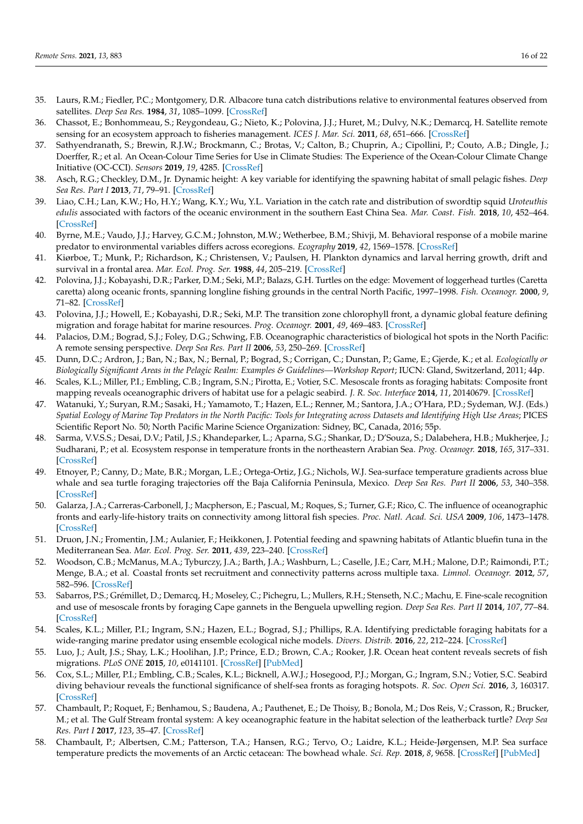- <span id="page-15-13"></span>35. Laurs, R.M.; Fiedler, P.C.; Montgomery, D.R. Albacore tuna catch distributions relative to environmental features observed from satellites. *Deep Sea Res.* **1984**, *31*, 1085–1099. [\[CrossRef\]](http://doi.org/10.1016/0198-0149(84)90014-1)
- <span id="page-15-0"></span>36. Chassot, E.; Bonhommeau, S.; Reygondeau, G.; Nieto, K.; Polovina, J.J.; Huret, M.; Dulvy, N.K.; Demarcq, H. Satellite remote sensing for an ecosystem approach to fisheries management. *ICES J. Mar. Sci.* **2011**, *68*, 651–666. [\[CrossRef\]](http://doi.org/10.1093/icesjms/fsq195)
- <span id="page-15-1"></span>37. Sathyendranath, S.; Brewin, R.J.W.; Brockmann, C.; Brotas, V.; Calton, B.; Chuprin, A.; Cipollini, P.; Couto, A.B.; Dingle, J.; Doerffer, R.; et al. An Ocean-Colour Time Series for Use in Climate Studies: The Experience of the Ocean-Colour Climate Change Initiative (OC-CCI). *Sensors* **2019**, *19*, 4285. [\[CrossRef\]](http://doi.org/10.3390/s19194285)
- <span id="page-15-2"></span>38. Asch, R.G.; Checkley, D.M., Jr. Dynamic height: A key variable for identifying the spawning habitat of small pelagic fishes. *Deep Sea Res. Part I* **2013**, *71*, 79–91. [\[CrossRef\]](http://doi.org/10.1016/j.dsr.2012.08.006)
- <span id="page-15-17"></span>39. Liao, C.H.; Lan, K.W.; Ho, H.Y.; Wang, K.Y.; Wu, Y.L. Variation in the catch rate and distribution of swordtip squid *Uroteuthis edulis* associated with factors of the oceanic environment in the southern East China Sea. *Mar. Coast. Fish.* **2018**, *10*, 452–464. [\[CrossRef\]](http://doi.org/10.1002/mcf2.10039)
- <span id="page-15-3"></span>40. Byrne, M.E.; Vaudo, J.J.; Harvey, G.C.M.; Johnston, M.W.; Wetherbee, B.M.; Shivji, M. Behavioral response of a mobile marine predator to environmental variables differs across ecoregions. *Ecography* **2019**, *42*, 1569–1578. [\[CrossRef\]](http://doi.org/10.1111/ecog.04463)
- <span id="page-15-4"></span>41. Kiørboe, T.; Munk, P.; Richardson, K.; Christensen, V.; Paulsen, H. Plankton dynamics and larval herring growth, drift and survival in a frontal area. *Mar. Ecol. Prog. Ser.* **1988**, *44*, 205–219. [\[CrossRef\]](http://doi.org/10.3354/meps044205)
- <span id="page-15-6"></span>42. Polovina, J.J.; Kobayashi, D.R.; Parker, D.M.; Seki, M.P.; Balazs, G.H. Turtles on the edge: Movement of loggerhead turtles (Caretta caretta) along oceanic fronts, spanning longline fishing grounds in the central North Pacific, 1997–1998. *Fish. Oceanogr.* **2000**, *9*, 71–82. [\[CrossRef\]](http://doi.org/10.1046/j.1365-2419.2000.00123.x)
- <span id="page-15-7"></span>43. Polovina, J.J.; Howell, E.; Kobayashi, D.R.; Seki, M.P. The transition zone chlorophyll front, a dynamic global feature defining migration and forage habitat for marine resources. *Prog. Oceanogr.* **2001**, *49*, 469–483. [\[CrossRef\]](http://doi.org/10.1016/S0079-6611(01)00036-2)
- <span id="page-15-10"></span>44. Palacios, D.M.; Bograd, S.J.; Foley, D.G.; Schwing, F.B. Oceanographic characteristics of biological hot spots in the North Pacific: A remote sensing perspective. *Deep Sea Res. Part II* **2006**, *53*, 250–269. [\[CrossRef\]](http://doi.org/10.1016/j.dsr2.2006.03.004)
- 45. Dunn, D.C.; Ardron, J.; Ban, N.; Bax, N.; Bernal, P.; Bograd, S.; Corrigan, C.; Dunstan, P.; Game, E.; Gjerde, K.; et al. *Ecologically or Biologically Significant Areas in the Pelagic Realm: Examples & Guidelines—Workshop Report*; IUCN: Gland, Switzerland, 2011; 44p.
- <span id="page-15-8"></span>46. Scales, K.L.; Miller, P.I.; Embling, C.B.; Ingram, S.N.; Pirotta, E.; Votier, S.C. Mesoscale fronts as foraging habitats: Composite front mapping reveals oceanographic drivers of habitat use for a pelagic seabird. *J. R. Soc. Interface* **2014**, *11*, 20140679. [\[CrossRef\]](http://doi.org/10.1098/rsif.2014.0679)
- 47. Watanuki, Y.; Suryan, R.M.; Sasaki, H.; Yamamoto, T.; Hazen, E.L.; Renner, M.; Santora, J.A.; O'Hara, P.D.; Sydeman, W.J. (Eds.) *Spatial Ecology of Marine Top Predators in the North Pacific: Tools for Integrating across Datasets and Identifying High Use Areas*; PICES Scientific Report No. 50; North Pacific Marine Science Organization: Sidney, BC, Canada, 2016; 55p.
- <span id="page-15-5"></span>48. Sarma, V.V.S.S.; Desai, D.V.; Patil, J.S.; Khandeparker, L.; Aparna, S.G.; Shankar, D.; D'Souza, S.; Dalabehera, H.B.; Mukherjee, J.; Sudharani, P.; et al. Ecosystem response in temperature fronts in the northeastern Arabian Sea. *Prog. Oceanogr.* **2018**, *165*, 317–331. [\[CrossRef\]](http://doi.org/10.1016/j.pocean.2018.02.004)
- <span id="page-15-9"></span>49. Etnoyer, P.; Canny, D.; Mate, B.R.; Morgan, L.E.; Ortega-Ortiz, J.G.; Nichols, W.J. Sea-surface temperature gradients across blue whale and sea turtle foraging trajectories off the Baja California Peninsula, Mexico. *Deep Sea Res. Part II* **2006**, *53*, 340–358. [\[CrossRef\]](http://doi.org/10.1016/j.dsr2.2006.01.010)
- 50. Galarza, J.A.; Carreras-Carbonell, J.; Macpherson, E.; Pascual, M.; Roques, S.; Turner, G.F.; Rico, C. The influence of oceanographic fronts and early-life-history traits on connectivity among littoral fish species. *Proc. Natl. Acad. Sci. USA* **2009**, *106*, 1473–1478. [\[CrossRef\]](http://doi.org/10.1073/pnas.0806804106)
- <span id="page-15-11"></span>51. Druon, J.N.; Fromentin, J.M.; Aulanier, F.; Heikkonen, J. Potential feeding and spawning habitats of Atlantic bluefin tuna in the Mediterranean Sea. *Mar. Ecol. Prog. Ser.* **2011**, *439*, 223–240. [\[CrossRef\]](http://doi.org/10.3354/meps09321)
- <span id="page-15-12"></span>52. Woodson, C.B.; McManus, M.A.; Tyburczy, J.A.; Barth, J.A.; Washburn, L.; Caselle, J.E.; Carr, M.H.; Malone, D.P.; Raimondi, P.T.; Menge, B.A.; et al. Coastal fronts set recruitment and connectivity patterns across multiple taxa. *Limnol. Oceanogr.* **2012**, *57*, 582–596. [\[CrossRef\]](http://doi.org/10.4319/lo.2012.57.2.0582)
- <span id="page-15-19"></span>53. Sabarros, P.S.; Grémillet, D.; Demarcq, H.; Moseley, C.; Pichegru, L.; Mullers, R.H.; Stenseth, N.C.; Machu, E. Fine-scale recognition and use of mesoscale fronts by foraging Cape gannets in the Benguela upwelling region. *Deep Sea Res. Part II* **2014**, *107*, 77–84. [\[CrossRef\]](http://doi.org/10.1016/j.dsr2.2013.06.023)
- <span id="page-15-20"></span>54. Scales, K.L.; Miller, P.I.; Ingram, S.N.; Hazen, E.L.; Bograd, S.J.; Phillips, R.A. Identifying predictable foraging habitats for a wide-ranging marine predator using ensemble ecological niche models. *Divers. Distrib.* **2016**, *22*, 212–224. [\[CrossRef\]](http://doi.org/10.1111/ddi.12389)
- <span id="page-15-18"></span>55. Luo, J.; Ault, J.S.; Shay, L.K.; Hoolihan, J.P.; Prince, E.D.; Brown, C.A.; Rooker, J.R. Ocean heat content reveals secrets of fish migrations. *PLoS ONE* **2015**, *10*, e0141101. [\[CrossRef\]](http://doi.org/10.1371/journal.pone.0141101) [\[PubMed\]](http://www.ncbi.nlm.nih.gov/pubmed/26484541)
- <span id="page-15-16"></span>56. Cox, S.L.; Miller, P.I.; Embling, C.B.; Scales, K.L.; Bicknell, A.W.J.; Hosegood, P.J.; Morgan, G.; Ingram, S.N.; Votier, S.C. Seabird diving behaviour reveals the functional significance of shelf-sea fronts as foraging hotspots. *R. Soc. Open Sci.* **2016**, *3*, 160317. [\[CrossRef\]](http://doi.org/10.1098/rsos.160317)
- <span id="page-15-14"></span>57. Chambault, P.; Roquet, F.; Benhamou, S.; Baudena, A.; Pauthenet, E.; De Thoisy, B.; Bonola, M.; Dos Reis, V.; Crasson, R.; Brucker, M.; et al. The Gulf Stream frontal system: A key oceanographic feature in the habitat selection of the leatherback turtle? *Deep Sea Res. Part I* **2017**, *123*, 35–47. [\[CrossRef\]](http://doi.org/10.1016/j.dsr.2017.03.003)
- <span id="page-15-15"></span>58. Chambault, P.; Albertsen, C.M.; Patterson, T.A.; Hansen, R.G.; Tervo, O.; Laidre, K.L.; Heide-Jørgensen, M.P. Sea surface temperature predicts the movements of an Arctic cetacean: The bowhead whale. *Sci. Rep.* **2018**, *8*, 9658. [\[CrossRef\]](http://doi.org/10.1038/s41598-018-27966-1) [\[PubMed\]](http://www.ncbi.nlm.nih.gov/pubmed/29942009)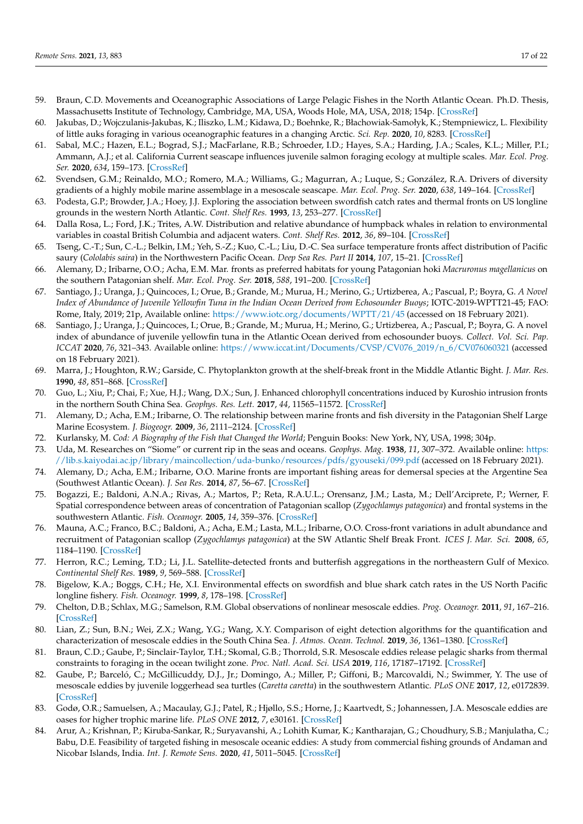- <span id="page-16-21"></span>59. Braun, C.D. Movements and Oceanographic Associations of Large Pelagic Fishes in the North Atlantic Ocean. Ph.D. Thesis, Massachusetts Institute of Technology, Cambridge, MA, USA, Woods Hole, MA, USA, 2018; 154p. [\[CrossRef\]](http://doi.org/10.1575/1912/10644)
- <span id="page-16-23"></span>60. Jakubas, D.; Wojczulanis-Jakubas, K.; Iliszko, L.M.; Kidawa, D.; Boehnke, R.; Błachowiak-Samołyk, K.; Stempniewicz, L. Flexibility of little auks foraging in various oceanographic features in a changing Arctic. *Sci. Rep.* **2020**, *10*, 8283. [\[CrossRef\]](http://doi.org/10.1038/s41598-020-65210-x)
- <span id="page-16-0"></span>61. Sabal, M.C.; Hazen, E.L.; Bograd, S.J.; MacFarlane, R.B.; Schroeder, I.D.; Hayes, S.A.; Harding, J.A.; Scales, K.L.; Miller, P.I.; Ammann, A.J.; et al. California Current seascape influences juvenile salmon foraging ecology at multiple scales. *Mar. Ecol. Prog. Ser.* **2020**, *634*, 159–173. [\[CrossRef\]](http://doi.org/10.3354/meps13185)
- <span id="page-16-1"></span>62. Svendsen, G.M.; Reinaldo, M.O.; Romero, M.A.; Williams, G.; Magurran, A.; Luque, S.; González, R.A. Drivers of diversity gradients of a highly mobile marine assemblage in a mesoscale seascape. *Mar. Ecol. Prog. Ser.* **2020**, *638*, 149–164. [\[CrossRef\]](http://doi.org/10.3354/meps13264)
- <span id="page-16-2"></span>63. Podesta, G.P.; Browder, J.A.; Hoey, J.J. Exploring the association between swordfish catch rates and thermal fronts on US longline grounds in the western North Atlantic. *Cont. Shelf Res.* **1993**, *13*, 253–277. [\[CrossRef\]](http://doi.org/10.1016/0278-4343(93)90109-B)
- <span id="page-16-22"></span>64. Dalla Rosa, L.; Ford, J.K.; Trites, A.W. Distribution and relative abundance of humpback whales in relation to environmental variables in coastal British Columbia and adjacent waters. *Cont. Shelf Res.* **2012**, *36*, 89–104. [\[CrossRef\]](http://doi.org/10.1016/j.csr.2012.01.017)
- <span id="page-16-25"></span>65. Tseng, C.-T.; Sun, C.-L.; Belkin, I.M.; Yeh, S.-Z.; Kuo, C.-L.; Liu, D.-C. Sea surface temperature fronts affect distribution of Pacific saury (*Cololabis saira*) in the Northwestern Pacific Ocean. *Deep Sea Res. Part II* **2014**, *107*, 15–21. [\[CrossRef\]](http://doi.org/10.1016/j.dsr2.2014.06.001)
- <span id="page-16-14"></span>66. Alemany, D.; Iribarne, O.O.; Acha, E.M. Mar. fronts as preferred habitats for young Patagonian hoki *Macruronus magellanicus* on the southern Patagonian shelf. *Mar. Ecol. Prog. Ser.* **2018**, *588*, 191–200. [\[CrossRef\]](http://doi.org/10.3354/meps12454)
- <span id="page-16-24"></span>67. Santiago, J.; Uranga, J.; Quincoces, I.; Orue, B.; Grande, M.; Murua, H.; Merino, G.; Urtizberea, A.; Pascual, P.; Boyra, G. *A Novel Index of Abundance of Juvenile Yellowfin Tuna in the Indian Ocean Derived from Echosounder Buoys*; IOTC-2019-WPTT21-45; FAO: Rome, Italy, 2019; 21p, Available online: <https://www.iotc.org/documents/WPTT/21/45> (accessed on 18 February 2021).
- <span id="page-16-3"></span>68. Santiago, J.; Uranga, J.; Quincoces, I.; Orue, B.; Grande, M.; Murua, H.; Merino, G.; Urtizberea, A.; Pascual, P.; Boyra, G. A novel index of abundance of juvenile yellowfin tuna in the Atlantic Ocean derived from echosounder buoys. *Collect. Vol. Sci. Pap. ICCAT* **2020**, *76*, 321–343. Available online: [https://www.iccat.int/Documents/CVSP/CV076\\_2019/n\\_6/CV076060321](https://www.iccat.int/Documents/CVSP/CV076_2019/n_6/CV076060321) (accessed on 18 February 2021).
- <span id="page-16-4"></span>69. Marra, J.; Houghton, R.W.; Garside, C. Phytoplankton growth at the shelf-break front in the Middle Atlantic Bight. *J. Mar. Res.* **1990**, *48*, 851–868. [\[CrossRef\]](http://doi.org/10.1357/002224090784988665)
- <span id="page-16-5"></span>70. Guo, L.; Xiu, P.; Chai, F.; Xue, H.J.; Wang, D.X.; Sun, J. Enhanced chlorophyll concentrations induced by Kuroshio intrusion fronts in the northern South China Sea. *Geophys. Res. Lett.* **2017**, *44*, 11565–11572. [\[CrossRef\]](http://doi.org/10.1002/2017GL075336)
- <span id="page-16-6"></span>71. Alemany, D.; Acha, E.M.; Iribarne, O. The relationship between marine fronts and fish diversity in the Patagonian Shelf Large Marine Ecosystem. *J. Biogeogr.* **2009**, *36*, 2111–2124. [\[CrossRef\]](http://doi.org/10.1111/j.1365-2699.2009.02148.x)
- <span id="page-16-7"></span>72. Kurlansky, M. *Cod: A Biography of the Fish that Changed the World*; Penguin Books: New York, NY, USA, 1998; 304p.
- <span id="page-16-8"></span>73. Uda, M. Researches on "Siome" or current rip in the seas and oceans. *Geophys. Mag.* **1938**, *11*, 307–372. Available online: [https:](https://lib.s.kaiyodai.ac.jp/library/maincollection/uda-bunko/resources/pdfs/gyouseki/099.pdf) [//lib.s.kaiyodai.ac.jp/library/maincollection/uda-bunko/resources/pdfs/gyouseki/099.pdf](https://lib.s.kaiyodai.ac.jp/library/maincollection/uda-bunko/resources/pdfs/gyouseki/099.pdf) (accessed on 18 February 2021).
- <span id="page-16-9"></span>74. Alemany, D.; Acha, E.M.; Iribarne, O.O. Marine fronts are important fishing areas for demersal species at the Argentine Sea (Southwest Atlantic Ocean). *J. Sea Res.* **2014**, *87*, 56–67. [\[CrossRef\]](http://doi.org/10.1016/j.seares.2013.12.006)
- <span id="page-16-10"></span>75. Bogazzi, E.; Baldoni, A.N.A.; Rivas, A.; Martos, P.; Reta, R.A.U.L.; Orensanz, J.M.; Lasta, M.; Dell'Arciprete, P.; Werner, F. Spatial correspondence between areas of concentration of Patagonian scallop (*Zygochlamys patagonica*) and frontal systems in the southwestern Atlantic. *Fish. Oceanogr.* **2005**, *14*, 359–376. [\[CrossRef\]](http://doi.org/10.1111/j.1365-2419.2005.00340.x)
- <span id="page-16-11"></span>76. Mauna, A.C.; Franco, B.C.; Baldoni, A.; Acha, E.M.; Lasta, M.L.; Iribarne, O.O. Cross-front variations in adult abundance and recruitment of Patagonian scallop (*Zygochlamys patagonica*) at the SW Atlantic Shelf Break Front. *ICES J. Mar. Sci.* **2008**, *65*, 1184–1190. [\[CrossRef\]](http://doi.org/10.1093/icesjms/fsn098)
- <span id="page-16-12"></span>77. Herron, R.C.; Leming, T.D.; Li, J.L. Satellite-detected fronts and butterfish aggregations in the northeastern Gulf of Mexico. *Continental Shelf Res.* **1989**, *9*, 569–588. [\[CrossRef\]](http://doi.org/10.1016/0278-4343(89)90022-8)
- <span id="page-16-13"></span>78. Bigelow, K.A.; Boggs, C.H.; He, X.I. Environmental effects on swordfish and blue shark catch rates in the US North Pacific longline fishery. *Fish. Oceanogr.* **1999**, *8*, 178–198. [\[CrossRef\]](http://doi.org/10.1046/j.1365-2419.1999.00105.x)
- <span id="page-16-15"></span>79. Chelton, D.B.; Schlax, M.G.; Samelson, R.M. Global observations of nonlinear mesoscale eddies. *Prog. Oceanogr.* **2011**, *91*, 167–216. [\[CrossRef\]](http://doi.org/10.1016/j.pocean.2011.01.002)
- <span id="page-16-16"></span>80. Lian, Z.; Sun, B.N.; Wei, Z.X.; Wang, Y.G.; Wang, X.Y. Comparison of eight detection algorithms for the quantification and characterization of mesoscale eddies in the South China Sea. *J. Atmos. Ocean. Technol.* **2019**, *36*, 1361–1380. [\[CrossRef\]](http://doi.org/10.1175/JTECH-D-18-0201.1)
- <span id="page-16-17"></span>81. Braun, C.D.; Gaube, P.; Sinclair-Taylor, T.H.; Skomal, G.B.; Thorrold, S.R. Mesoscale eddies release pelagic sharks from thermal constraints to foraging in the ocean twilight zone. *Proc. Natl. Acad. Sci. USA* **2019**, *116*, 17187–17192. [\[CrossRef\]](http://doi.org/10.1073/pnas.1903067116)
- <span id="page-16-18"></span>82. Gaube, P.; Barceló, C.; McGillicuddy, D.J., Jr.; Domingo, A.; Miller, P.; Giffoni, B.; Marcovaldi, N.; Swimmer, Y. The use of mesoscale eddies by juvenile loggerhead sea turtles (*Caretta caretta*) in the southwestern Atlantic. *PLoS ONE* **2017**, *12*, e0172839. [\[CrossRef\]](http://doi.org/10.1371/journal.pone.0172839)
- <span id="page-16-19"></span>83. Godø, O.R.; Samuelsen, A.; Macaulay, G.J.; Patel, R.; Hjøllo, S.S.; Horne, J.; Kaartvedt, S.; Johannessen, J.A. Mesoscale eddies are oases for higher trophic marine life. *PLoS ONE* **2012**, *7*, e30161. [\[CrossRef\]](http://doi.org/10.1371/journal.pone.0030161)
- <span id="page-16-20"></span>84. Arur, A.; Krishnan, P.; Kiruba-Sankar, R.; Suryavanshi, A.; Lohith Kumar, K.; Kantharajan, G.; Choudhury, S.B.; Manjulatha, C.; Babu, D.E. Feasibility of targeted fishing in mesoscale oceanic eddies: A study from commercial fishing grounds of Andaman and Nicobar Islands, India. *Int. J. Remote Sens.* **2020**, *41*, 5011–5045. [\[CrossRef\]](http://doi.org/10.1080/01431161.2020.1724347)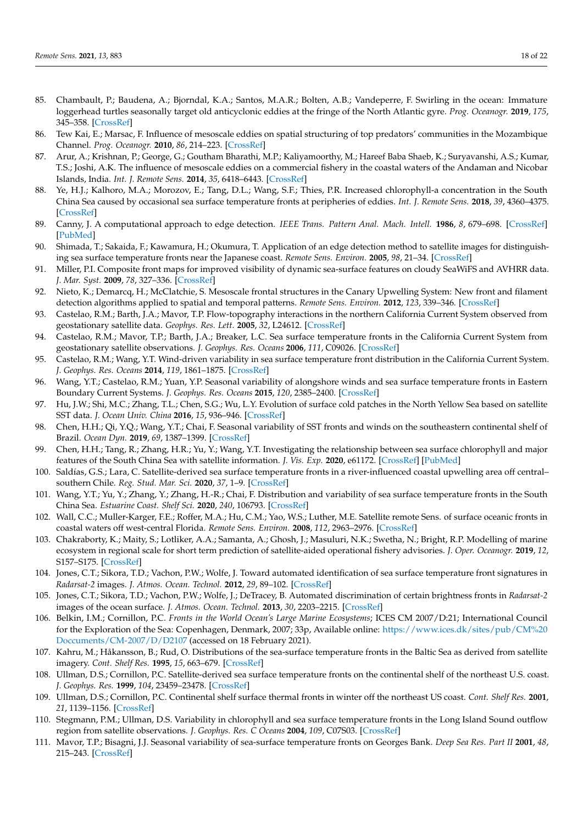- <span id="page-17-0"></span>85. Chambault, P.; Baudena, A.; Bjorndal, K.A.; Santos, M.A.R.; Bolten, A.B.; Vandeperre, F. Swirling in the ocean: Immature loggerhead turtles seasonally target old anticyclonic eddies at the fringe of the North Atlantic gyre. *Prog. Oceanogr.* **2019**, *175*, 345–358. [\[CrossRef\]](http://doi.org/10.1016/j.pocean.2019.05.005)
- <span id="page-17-1"></span>86. Tew Kai, E.; Marsac, F. Influence of mesoscale eddies on spatial structuring of top predators' communities in the Mozambique Channel. *Prog. Oceanogr.* **2010**, *86*, 214–223. [\[CrossRef\]](http://doi.org/10.1016/j.pocean.2010.04.010)
- <span id="page-17-2"></span>87. Arur, A.; Krishnan, P.; George, G.; Goutham Bharathi, M.P.; Kaliyamoorthy, M.; Hareef Baba Shaeb, K.; Suryavanshi, A.S.; Kumar, T.S.; Joshi, A.K. The influence of mesoscale eddies on a commercial fishery in the coastal waters of the Andaman and Nicobar Islands, India. *Int. J. Remote Sens.* **2014**, *35*, 6418–6443. [\[CrossRef\]](http://doi.org/10.1080/01431161.2014.958246)
- <span id="page-17-3"></span>88. Ye, H.J.; Kalhoro, M.A.; Morozov, E.; Tang, D.L.; Wang, S.F.; Thies, P.R. Increased chlorophyll-a concentration in the South China Sea caused by occasional sea surface temperature fronts at peripheries of eddies. *Int. J. Remote Sens.* **2018**, *39*, 4360–4375. [\[CrossRef\]](http://doi.org/10.1080/01431161.2017.1399479)
- <span id="page-17-4"></span>89. Canny, J. A computational approach to edge detection. *IEEE Trans. Pattern Anal. Mach. Intell.* **1986**, *8*, 679–698. [\[CrossRef\]](http://doi.org/10.1109/TPAMI.1986.4767851) [\[PubMed\]](http://www.ncbi.nlm.nih.gov/pubmed/21869365)
- <span id="page-17-5"></span>90. Shimada, T.; Sakaida, F.; Kawamura, H.; Okumura, T. Application of an edge detection method to satellite images for distinguishing sea surface temperature fronts near the Japanese coast. *Remote Sens. Environ.* **2005**, *98*, 21–34. [\[CrossRef\]](http://doi.org/10.1016/j.rse.2005.05.018)
- <span id="page-17-6"></span>91. Miller, P.I. Composite front maps for improved visibility of dynamic sea-surface features on cloudy SeaWiFS and AVHRR data. *J. Mar. Syst.* **2009**, *78*, 327–336. [\[CrossRef\]](http://doi.org/10.1016/j.jmarsys.2008.11.019)
- <span id="page-17-7"></span>92. Nieto, K.; Demarcq, H.; McClatchie, S. Mesoscale frontal structures in the Canary Upwelling System: New front and filament detection algorithms applied to spatial and temporal patterns. *Remote Sens. Environ.* **2012**, *123*, 339–346. [\[CrossRef\]](http://doi.org/10.1016/j.rse.2012.03.028)
- <span id="page-17-8"></span>93. Castelao, R.M.; Barth, J.A.; Mavor, T.P. Flow-topography interactions in the northern California Current System observed from geostationary satellite data. *Geophys. Res. Lett.* **2005**, *32*, L24612. [\[CrossRef\]](http://doi.org/10.1029/2005GL024401)
- 94. Castelao, R.M.; Mavor, T.P.; Barth, J.A.; Breaker, L.C. Sea surface temperature fronts in the California Current System from geostationary satellite observations. *J. Geophys. Res. Oceans* **2006**, *111*, C09026. [\[CrossRef\]](http://doi.org/10.1029/2006JC003541)
- 95. Castelao, R.M.; Wang, Y.T. Wind-driven variability in sea surface temperature front distribution in the California Current System. *J. Geophys. Res. Oceans* **2014**, *119*, 1861–1875. [\[CrossRef\]](http://doi.org/10.1002/2013JC009531)
- 96. Wang, Y.T.; Castelao, R.M.; Yuan, Y.P. Seasonal variability of alongshore winds and sea surface temperature fronts in Eastern Boundary Current Systems. *J. Geophys. Res. Oceans* **2015**, *120*, 2385–2400. [\[CrossRef\]](http://doi.org/10.1002/2014JC010379)
- 97. Hu, J.W.; Shi, M.C.; Zhang, T.L.; Chen, S.G.; Wu, L.Y. Evolution of surface cold patches in the North Yellow Sea based on satellite SST data. *J. Ocean Univ. China* **2016**, *15*, 936–946. [\[CrossRef\]](http://doi.org/10.1007/s11802-016-3050-5)
- 98. Chen, H.H.; Qi, Y.Q.; Wang, Y.T.; Chai, F. Seasonal variability of SST fronts and winds on the southeastern continental shelf of Brazil. *Ocean Dyn.* **2019**, *69*, 1387–1399. [\[CrossRef\]](http://doi.org/10.1007/s10236-019-01310-1)
- 99. Chen, H.H.; Tang, R.; Zhang, H.R.; Yu, Y.; Wang, Y.T. Investigating the relationship between sea surface chlorophyll and major features of the South China Sea with satellite information. *J. Vis. Exp.* **2020**, e61172. [\[CrossRef\]](http://doi.org/10.3791/61172) [\[PubMed\]](http://www.ncbi.nlm.nih.gov/pubmed/32597841)
- 100. Saldías, G.S.; Lara, C. Satellite-derived sea surface temperature fronts in a river-influenced coastal upwelling area off central– southern Chile. *Reg. Stud. Mar. Sci.* **2020**, *37*, 1–9. [\[CrossRef\]](http://doi.org/10.1016/j.rsma.2020.101322)
- <span id="page-17-9"></span>101. Wang, Y.T.; Yu, Y.; Zhang, Y.; Zhang, H.-R.; Chai, F. Distribution and variability of sea surface temperature fronts in the South China Sea. *Estuarine Coast. Shelf Sci.* **2020**, *240*, 106793. [\[CrossRef\]](http://doi.org/10.1016/j.ecss.2020.106793)
- <span id="page-17-10"></span>102. Wall, C.C.; Muller-Karger, F.E.; Roffer, M.A.; Hu, C.M.; Yao, W.S.; Luther, M.E. Satellite remote Sens. of surface oceanic fronts in coastal waters off west-central Florida. *Remote Sens. Environ.* **2008**, *112*, 2963–2976. [\[CrossRef\]](http://doi.org/10.1016/j.rse.2008.02.007)
- <span id="page-17-11"></span>103. Chakraborty, K.; Maity, S.; Lotliker, A.A.; Samanta, A.; Ghosh, J.; Masuluri, N.K.; Swetha, N.; Bright, R.P. Modelling of marine ecosystem in regional scale for short term prediction of satellite-aided operational fishery advisories. *J. Oper. Oceanogr.* **2019**, *12*, S157–S175. [\[CrossRef\]](http://doi.org/10.1080/1755876X.2019.1574951)
- <span id="page-17-12"></span>104. Jones, C.T.; Sikora, T.D.; Vachon, P.W.; Wolfe, J. Toward automated identification of sea surface temperature front signatures in *Radarsat-2* images. *J. Atmos. Ocean. Technol.* **2012**, *29*, 89–102. [\[CrossRef\]](http://doi.org/10.1175/JTECH-D-11-00088.1)
- <span id="page-17-13"></span>105. Jones, C.T.; Sikora, T.D.; Vachon, P.W.; Wolfe, J.; DeTracey, B. Automated discrimination of certain brightness fronts in *Radarsat-2* images of the ocean surface. *J. Atmos. Ocean. Technol.* **2013**, *30*, 2203–2215. [\[CrossRef\]](http://doi.org/10.1175/JTECH-D-12-00190.1)
- <span id="page-17-14"></span>106. Belkin, I.M.; Cornillon, P.C. *Fronts in the World Ocean's Large Marine Ecosystems*; ICES CM 2007/D:21; International Council for the Exploration of the Sea: Copenhagen, Denmark, 2007; 33p, Available online: [https://www.ices.dk/sites/pub/CM%20](https://www.ices.dk/sites/pub/CM%20Doccuments/CM-2007/D/D2107) [Doccuments/CM-2007/D/D2107](https://www.ices.dk/sites/pub/CM%20Doccuments/CM-2007/D/D2107) (accessed on 18 February 2021).
- <span id="page-17-15"></span>107. Kahru, M.; Håkansson, B.; Rud, O. Distributions of the sea-surface temperature fronts in the Baltic Sea as derived from satellite imagery. *Cont. Shelf Res.* **1995**, *15*, 663–679. [\[CrossRef\]](http://doi.org/10.1016/0278-4343(94)E0030-P)
- <span id="page-17-16"></span>108. Ullman, D.S.; Cornillon, P.C. Satellite-derived sea surface temperature fronts on the continental shelf of the northeast U.S. coast. *J. Geophys. Res.* **1999**, *104*, 23459–23478. [\[CrossRef\]](http://doi.org/10.1029/1999JC900133)
- 109. Ullman, D.S.; Cornillon, P.C. Continental shelf surface thermal fronts in winter off the northeast US coast. *Cont. Shelf Res.* **2001**, *21*, 1139–1156. [\[CrossRef\]](http://doi.org/10.1016/S0278-4343(00)00107-2)
- <span id="page-17-17"></span>110. Stegmann, P.M.; Ullman, D.S. Variability in chlorophyll and sea surface temperature fronts in the Long Island Sound outflow region from satellite observations. *J. Geophys. Res. C Oceans* **2004**, *109*, C07S03. [\[CrossRef\]](http://doi.org/10.1029/2003JC001984)
- <span id="page-17-18"></span>111. Mavor, T.P.; Bisagni, J.J. Seasonal variability of sea-surface temperature fronts on Georges Bank. *Deep Sea Res. Part II* **2001**, *48*, 215–243. [\[CrossRef\]](http://doi.org/10.1016/S0967-0645(00)00120-X)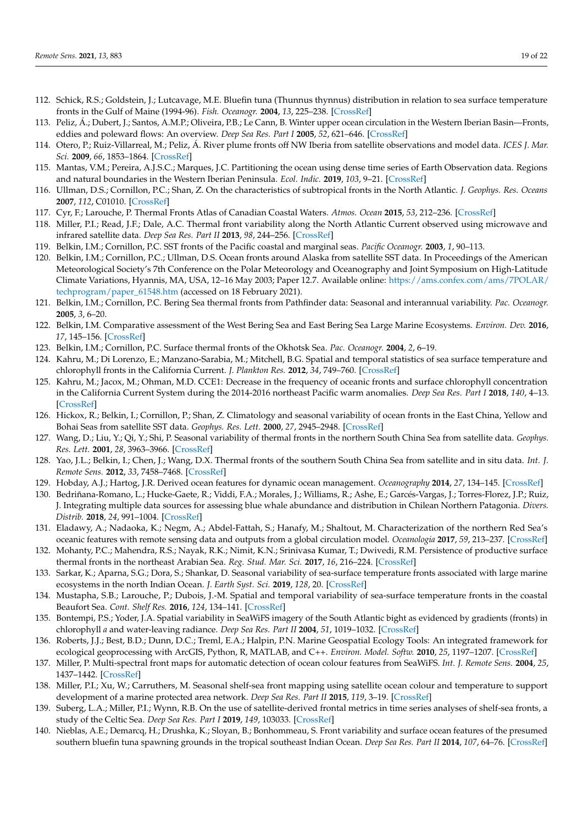- <span id="page-18-0"></span>112. Schick, R.S.; Goldstein, J.; Lutcavage, M.E. Bluefin tuna (Thunnus thynnus) distribution in relation to sea surface temperature fronts in the Gulf of Maine (1994-96). *Fish. Oceanogr.* **2004**, *13*, 225–238. [\[CrossRef\]](http://doi.org/10.1111/j.1365-2419.2004.00290.x)
- <span id="page-18-1"></span>113. Peliz, Á.; Dubert, J.; Santos, A.M.P.; Oliveira, P.B.; Le Cann, B. Winter upper ocean circulation in the Western Iberian Basin—Fronts, eddies and poleward flows: An overview. *Deep Sea Res. Part I* **2005**, *52*, 621–646. [\[CrossRef\]](http://doi.org/10.1016/j.dsr.2004.11.005)
- 114. Otero, P.; Ruiz-Villarreal, M.; Peliz, Á. River plume fronts off NW Iberia from satellite observations and model data. *ICES J. Mar. Sci.* **2009**, *66*, 1853–1864. [\[CrossRef\]](http://doi.org/10.1093/icesjms/fsp156)
- <span id="page-18-2"></span>115. Mantas, V.M.; Pereira, A.J.S.C.; Marques, J.C. Partitioning the ocean using dense time series of Earth Observation data. Regions and natural boundaries in the Western Iberian Peninsula. *Ecol. Indic.* **2019**, *103*, 9–21. [\[CrossRef\]](http://doi.org/10.1016/j.ecolind.2019.03.045)
- <span id="page-18-3"></span>116. Ullman, D.S.; Cornillon, P.C.; Shan, Z. On the characteristics of subtropical fronts in the North Atlantic. *J. Geophys. Res. Oceans* **2007**, *112*, C01010. [\[CrossRef\]](http://doi.org/10.1029/2006JC003601)
- <span id="page-18-4"></span>117. Cyr, F.; Larouche, P. Thermal Fronts Atlas of Canadian Coastal Waters. *Atmos. Ocean* **2015**, *53*, 212–236. [\[CrossRef\]](http://doi.org/10.1080/07055900.2014.986710)
- <span id="page-18-5"></span>118. Miller, P.I.; Read, J.F.; Dale, A.C. Thermal front variability along the North Atlantic Current observed using microwave and infrared satellite data. *Deep Sea Res. Part II* **2013**, *98*, 244–256. [\[CrossRef\]](http://doi.org/10.1016/j.dsr2.2013.08.014)
- <span id="page-18-6"></span>119. Belkin, I.M.; Cornillon, P.C. SST fronts of the Pacific coastal and marginal seas. *Pacific Oceanogr.* **2003**, *1*, 90–113.
- <span id="page-18-7"></span>120. Belkin, I.M.; Cornillon, P.C.; Ullman, D.S. Ocean fronts around Alaska from satellite SST data. In Proceedings of the American Meteorological Society's 7th Conference on the Polar Meteorology and Oceanography and Joint Symposium on High-Latitude Climate Variations, Hyannis, MA, USA, 12–16 May 2003; Paper 12.7. Available online: [https://ams.confex.com/ams/7POLAR/](https://ams.confex.com/ams/7POLAR/techprogram/paper_61548.htm) [techprogram/paper\\_61548.htm](https://ams.confex.com/ams/7POLAR/techprogram/paper_61548.htm) (accessed on 18 February 2021).
- 121. Belkin, I.M.; Cornillon, P.C. Bering Sea thermal fronts from Pathfinder data: Seasonal and interannual variability. *Pac. Oceanogr.* **2005**, *3*, 6–20.
- <span id="page-18-8"></span>122. Belkin, I.M. Comparative assessment of the West Bering Sea and East Bering Sea Large Marine Ecosystems. *Environ. Dev.* **2016**, *17*, 145–156. [\[CrossRef\]](http://doi.org/10.1016/j.envdev.2015.11.006)
- <span id="page-18-9"></span>123. Belkin, I.M.; Cornillon, P.C. Surface thermal fronts of the Okhotsk Sea. *Pac. Oceanogr.* **2004**, *2*, 6–19.
- <span id="page-18-10"></span>124. Kahru, M.; Di Lorenzo, E.; Manzano-Sarabia, M.; Mitchell, B.G. Spatial and temporal statistics of sea surface temperature and chlorophyll fronts in the California Current. *J. Plankton Res.* **2012**, *34*, 749–760. [\[CrossRef\]](http://doi.org/10.1093/plankt/fbs010)
- <span id="page-18-11"></span>125. Kahru, M.; Jacox, M.; Ohman, M.D. CCE1: Decrease in the frequency of oceanic fronts and surface chlorophyll concentration in the California Current System during the 2014-2016 northeast Pacific warm anomalies. *Deep Sea Res. Part I* **2018**, *140*, 4–13. [\[CrossRef\]](http://doi.org/10.1016/j.dsr.2018.04.007)
- <span id="page-18-12"></span>126. Hickox, R.; Belkin, I.; Cornillon, P.; Shan, Z. Climatology and seasonal variability of ocean fronts in the East China, Yellow and Bohai Seas from satellite SST data. *Geophys. Res. Lett.* **2000**, *27*, 2945–2948. [\[CrossRef\]](http://doi.org/10.1029/1999GL011223)
- <span id="page-18-13"></span>127. Wang, D.; Liu, Y.; Qi, Y.; Shi, P. Seasonal variability of thermal fronts in the northern South China Sea from satellite data. *Geophys. Res. Lett.* **2001**, *28*, 3963–3966. [\[CrossRef\]](http://doi.org/10.1029/2001GL013306)
- <span id="page-18-14"></span>128. Yao, J.L.; Belkin, I.; Chen, J.; Wang, D.X. Thermal fronts of the southern South China Sea from satellite and in situ data. *Int. J. Remote Sens.* **2012**, *33*, 7458–7468. [\[CrossRef\]](http://doi.org/10.1080/01431161.2012.685985)
- <span id="page-18-15"></span>129. Hobday, A.J.; Hartog, J.R. Derived ocean features for dynamic ocean management. *Oceanography* **2014**, *27*, 134–145. [\[CrossRef\]](http://doi.org/10.5670/oceanog.2014.92)
- <span id="page-18-16"></span>130. Bedriñana-Romano, L.; Hucke-Gaete, R.; Viddi, F.A.; Morales, J.; Williams, R.; Ashe, E.; Garcés-Vargas, J.; Torres-Florez, J.P.; Ruiz, J. Integrating multiple data sources for assessing blue whale abundance and distribution in Chilean Northern Patagonia. *Divers. Distrib.* **2018**, *24*, 991–1004. [\[CrossRef\]](http://doi.org/10.1111/ddi.12739)
- <span id="page-18-17"></span>131. Eladawy, A.; Nadaoka, K.; Negm, A.; Abdel-Fattah, S.; Hanafy, M.; Shaltout, M. Characterization of the northern Red Sea's oceanic features with remote sensing data and outputs from a global circulation model. *Oceanologia* **2017**, *59*, 213–237. [\[CrossRef\]](http://doi.org/10.1016/j.oceano.2017.01.002)
- <span id="page-18-18"></span>132. Mohanty, P.C.; Mahendra, R.S.; Nayak, R.K.; Nimit, K.N.; Srinivasa Kumar, T.; Dwivedi, R.M. Persistence of productive surface thermal fronts in the northeast Arabian Sea. *Reg. Stud. Mar. Sci.* **2017**, *16*, 216–224. [\[CrossRef\]](http://doi.org/10.1016/j.rsma.2017.09.010)
- <span id="page-18-19"></span>133. Sarkar, K.; Aparna, S.G.; Dora, S.; Shankar, D. Seasonal variability of sea-surface temperature fronts associated with large marine ecosystems in the north Indian Ocean. *J. Earth Syst. Sci.* **2019**, *128*, 20. [\[CrossRef\]](http://doi.org/10.1007/s12040-018-1045-x)
- <span id="page-18-20"></span>134. Mustapha, S.B.; Larouche, P.; Dubois, J.-M. Spatial and temporal variability of sea-surface temperature fronts in the coastal Beaufort Sea. *Cont. Shelf Res.* **2016**, *124*, 134–141. [\[CrossRef\]](http://doi.org/10.1016/j.csr.2016.06.001)
- <span id="page-18-21"></span>135. Bontempi, P.S.; Yoder, J.A. Spatial variability in SeaWiFS imagery of the South Atlantic bight as evidenced by gradients (fronts) in chlorophyll *a* and water-leaving radiance. *Deep Sea Res. Part II* **2004**, *51*, 1019–1032. [\[CrossRef\]](http://doi.org/10.1016/S0967-0645(04)00098-0)
- <span id="page-18-22"></span>136. Roberts, J.J.; Best, B.D.; Dunn, D.C.; Treml, E.A.; Halpin, P.N. Marine Geospatial Ecology Tools: An integrated framework for ecological geoprocessing with ArcGIS, Python, R, MATLAB, and C++. *Environ. Model. Softw.* **2010**, *25*, 1197–1207. [\[CrossRef\]](http://doi.org/10.1016/j.envsoft.2010.03.029)
- <span id="page-18-23"></span>137. Miller, P. Multi-spectral front maps for automatic detection of ocean colour features from SeaWiFS. *Int. J. Remote Sens.* **2004**, *25*, 1437–1442. [\[CrossRef\]](http://doi.org/10.1080/01431160310001592409)
- 138. Miller, P.I.; Xu, W.; Carruthers, M. Seasonal shelf-sea front mapping using satellite ocean colour and temperature to support development of a marine protected area network. *Deep Sea Res. Part II* **2015**, *119*, 3–19. [\[CrossRef\]](http://doi.org/10.1016/j.dsr2.2014.05.013)
- <span id="page-18-24"></span>139. Suberg, L.A.; Miller, P.I.; Wynn, R.B. On the use of satellite-derived frontal metrics in time series analyses of shelf-sea fronts, a study of the Celtic Sea. *Deep Sea Res. Part I* **2019**, *149*, 103033. [\[CrossRef\]](http://doi.org/10.1016/j.dsr.2019.04.011)
- <span id="page-18-25"></span>140. Nieblas, A.E.; Demarcq, H.; Drushka, K.; Sloyan, B.; Bonhommeau, S. Front variability and surface ocean features of the presumed southern bluefin tuna spawning grounds in the tropical southeast Indian Ocean. *Deep Sea Res. Part II* **2014**, *107*, 64–76. [\[CrossRef\]](http://doi.org/10.1016/j.dsr2.2013.11.007)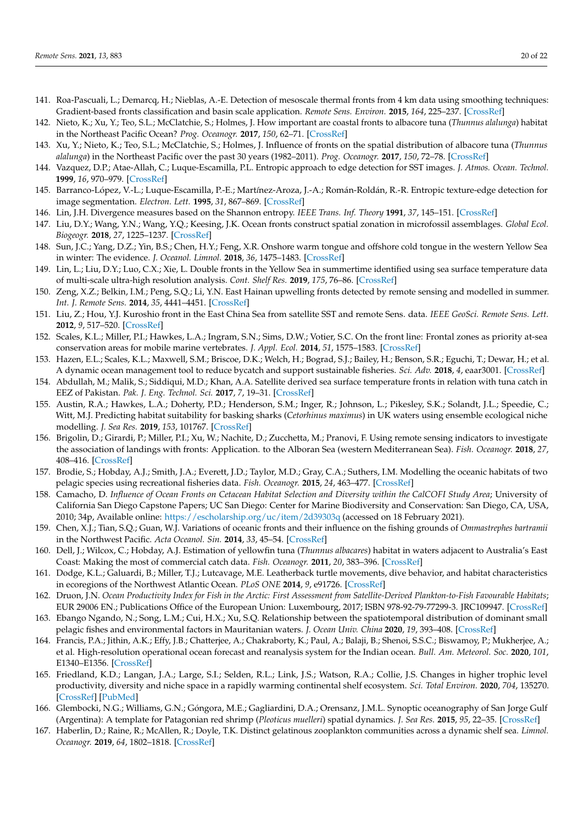- 141. Roa-Pascuali, L.; Demarcq, H.; Nieblas, A.-E. Detection of mesoscale thermal fronts from 4 km data using smoothing techniques: Gradient-based fronts classification and basin scale application. *Remote Sens. Environ.* **2015**, *164*, 225–237. [\[CrossRef\]](http://doi.org/10.1016/j.rse.2015.03.030)
- <span id="page-19-25"></span>142. Nieto, K.; Xu, Y.; Teo, S.L.; McClatchie, S.; Holmes, J. How important are coastal fronts to albacore tuna (*Thunnus alalunga*) habitat in the Northeast Pacific Ocean? *Prog. Oceanogr.* **2017**, *150*, 62–71. [\[CrossRef\]](http://doi.org/10.1016/j.pocean.2015.05.004)
- <span id="page-19-0"></span>143. Xu, Y.; Nieto, K.; Teo, S.L.; McClatchie, S.; Holmes, J. Influence of fronts on the spatial distribution of albacore tuna (*Thunnus alalunga*) in the Northeast Pacific over the past 30 years (1982–2011). *Prog. Oceanogr.* **2017**, *150*, 72–78. [\[CrossRef\]](http://doi.org/10.1016/j.pocean.2015.04.013)
- <span id="page-19-1"></span>144. Vazquez, D.P.; Atae-Allah, C.; Luque-Escamilla, P.L. Entropic approach to edge detection for SST images. *J. Atmos. Ocean. Technol.* **1999**, *16*, 970–979. [\[CrossRef\]](http://doi.org/10.1175/1520-0426(1999)016<0970:EATEDF>2.0.CO;2)
- <span id="page-19-2"></span>145. Barranco-López, V.-L.; Luque-Escamilla, P.-E.; Martínez-Aroza, J.-A.; Román-Roldán, R.-R. Entropic texture-edge detection for image segmentation. *Electron. Lett.* **1995**, *31*, 867–869. [\[CrossRef\]](http://doi.org/10.1049/el:19950598)
- <span id="page-19-3"></span>146. Lin, J.H. Divergence measures based on the Shannon entropy. *IEEE Trans. Inf. Theory* **1991**, *37*, 145–151. [\[CrossRef\]](http://doi.org/10.1109/18.61115)
- <span id="page-19-4"></span>147. Liu, D.Y.; Wang, Y.N.; Wang, Y.Q.; Keesing, J.K. Ocean fronts construct spatial zonation in microfossil assemblages. *Global Ecol. Biogeogr.* **2018**, *27*, 1225–1237. [\[CrossRef\]](http://doi.org/10.1111/geb.12779)
- <span id="page-19-5"></span>148. Sun, J.C.; Yang, D.Z.; Yin, B.S.; Chen, H.Y.; Feng, X.R. Onshore warm tongue and offshore cold tongue in the western Yellow Sea in winter: The evidence. *J. Oceanol. Limnol.* **2018**, *36*, 1475–1483. [\[CrossRef\]](http://doi.org/10.1007/s00343-018-7021-0)
- <span id="page-19-6"></span>149. Lin, L.; Liu, D.Y.; Luo, C.X.; Xie, L. Double fronts in the Yellow Sea in summertime identified using sea surface temperature data of multi-scale ultra-high resolution analysis. *Cont. Shelf Res.* **2019**, *175*, 76–86. [\[CrossRef\]](http://doi.org/10.1016/j.csr.2019.02.004)
- <span id="page-19-7"></span>150. Zeng, X.Z.; Belkin, I.M.; Peng, S.Q.; Li, Y.N. East Hainan upwelling fronts detected by remote sensing and modelled in summer. *Int. J. Remote Sens.* **2014**, *35*, 4441–4451. [\[CrossRef\]](http://doi.org/10.1080/01431161.2014.916443)
- <span id="page-19-8"></span>151. Liu, Z.; Hou, Y.J. Kuroshio front in the East China Sea from satellite SST and remote Sens. data. *IEEE GeoSci. Remote Sens. Lett.* **2012**, *9*, 517–520. [\[CrossRef\]](http://doi.org/10.1109/LGRS.2011.2173289)
- <span id="page-19-9"></span>152. Scales, K.L.; Miller, P.I.; Hawkes, L.A.; Ingram, S.N.; Sims, D.W.; Votier, S.C. On the front line: Frontal zones as priority at-sea conservation areas for mobile marine vertebrates. *J. Appl. Ecol.* **2014**, *51*, 1575–1583. [\[CrossRef\]](http://doi.org/10.1111/1365-2664.12330)
- <span id="page-19-10"></span>153. Hazen, E.L.; Scales, K.L.; Maxwell, S.M.; Briscoe, D.K.; Welch, H.; Bograd, S.J.; Bailey, H.; Benson, S.R.; Eguchi, T.; Dewar, H.; et al. A dynamic ocean management tool to reduce bycatch and support sustainable fisheries. *Sci. Adv.* **2018**, *4*, eaar3001. [\[CrossRef\]](http://doi.org/10.1126/sciadv.aar3001)
- <span id="page-19-11"></span>154. Abdullah, M.; Malik, S.; Siddiqui, M.D.; Khan, A.A. Satellite derived sea surface temperature fronts in relation with tuna catch in EEZ of Pakistan. *Pak. J. Eng. Technol. Sci.* **2017**, *7*, 19–31. [\[CrossRef\]](http://doi.org/10.22555/pjets.v7i1.2080)
- <span id="page-19-12"></span>155. Austin, R.A.; Hawkes, L.A.; Doherty, P.D.; Henderson, S.M.; Inger, R.; Johnson, L.; Pikesley, S.K.; Solandt, J.L.; Speedie, C.; Witt, M.J. Predicting habitat suitability for basking sharks (*Cetorhinus maximus*) in UK waters using ensemble ecological niche modelling. *J. Sea Res.* **2019**, *153*, 101767. [\[CrossRef\]](http://doi.org/10.1016/j.seares.2019.101767)
- <span id="page-19-13"></span>156. Brigolin, D.; Girardi, P.; Miller, P.I.; Xu, W.; Nachite, D.; Zucchetta, M.; Pranovi, F. Using remote sensing indicators to investigate the association of landings with fronts: Application. to the Alboran Sea (western Mediterranean Sea). *Fish. Oceanogr.* **2018**, *27*, 408–416. [\[CrossRef\]](http://doi.org/10.1111/fog.12262)
- <span id="page-19-14"></span>157. Brodie, S.; Hobday, A.J.; Smith, J.A.; Everett, J.D.; Taylor, M.D.; Gray, C.A.; Suthers, I.M. Modelling the oceanic habitats of two pelagic species using recreational fisheries data. *Fish. Oceanogr.* **2015**, *24*, 463–477. [\[CrossRef\]](http://doi.org/10.1111/fog.12122)
- <span id="page-19-15"></span>158. Camacho, D. *Influence of Ocean Fronts on Cetacean Habitat Selection and Diversity within the CalCOFI Study Area*; University of California San Diego Capstone Papers; UC San Diego: Center for Marine Biodiversity and Conservation: San Diego, CA, USA, 2010; 34p, Available online: <https://escholarship.org/uc/item/2d39303q> (accessed on 18 February 2021).
- <span id="page-19-16"></span>159. Chen, X.J.; Tian, S.Q.; Guan, W.J. Variations of oceanic fronts and their influence on the fishing grounds of *Ommastrephes bartramii* in the Northwest Pacific. *Acta Oceanol. Sin.* **2014**, *33*, 45–54. [\[CrossRef\]](http://doi.org/10.1007/s13131-014-0452-3)
- <span id="page-19-17"></span>160. Dell, J.; Wilcox, C.; Hobday, A.J. Estimation of yellowfin tuna (*Thunnus albacares*) habitat in waters adjacent to Australia's East Coast: Making the most of commercial catch data. *Fish. Oceanogr.* **2011**, *20*, 383–396. [\[CrossRef\]](http://doi.org/10.1111/j.1365-2419.2011.00591.x)
- <span id="page-19-18"></span>161. Dodge, K.L.; Galuardi, B.; Miller, T.J.; Lutcavage, M.E. Leatherback turtle movements, dive behavior, and habitat characteristics in ecoregions of the Northwest Atlantic Ocean. *PLoS ONE* **2014**, *9*, e91726. [\[CrossRef\]](http://doi.org/10.1371/journal.pone.0091726)
- <span id="page-19-19"></span>162. Druon, J.N. *Ocean Productivity Index for Fish in the Arctic: First Assessment from Satellite-Derived Plankton-to-Fish Favourable Habitats*; EUR 29006 EN.; Publications Office of the European Union: Luxembourg, 2017; ISBN 978-92-79-77299-3. JRC109947. [\[CrossRef\]](http://doi.org/10.2760/28033)
- <span id="page-19-20"></span>163. Ebango Ngando, N.; Song, L.M.; Cui, H.X.; Xu, S.Q. Relationship between the spatiotemporal distribution of dominant small pelagic fishes and environmental factors in Mauritanian waters. *J. Ocean Univ. China* **2020**, *19*, 393–408. [\[CrossRef\]](http://doi.org/10.1007/s11802-020-4120-2)
- <span id="page-19-21"></span>164. Francis, P.A.; Jithin, A.K.; Effy, J.B.; Chatterjee, A.; Chakraborty, K.; Paul, A.; Balaji, B.; Shenoi, S.S.C.; Biswamoy, P.; Mukherjee, A.; et al. High-resolution operational ocean forecast and reanalysis system for the Indian ocean. *Bull. Am. Meteorol. Soc.* **2020**, *101*, E1340–E1356. [\[CrossRef\]](http://doi.org/10.1175/BAMS-D-19-0083.1)
- <span id="page-19-22"></span>165. Friedland, K.D.; Langan, J.A.; Large, S.I.; Selden, R.L.; Link, J.S.; Watson, R.A.; Collie, J.S. Changes in higher trophic level productivity, diversity and niche space in a rapidly warming continental shelf ecosystem. *Sci. Total Environ.* **2020**, *704*, 135270. [\[CrossRef\]](http://doi.org/10.1016/j.scitotenv.2019.135270) [\[PubMed\]](http://www.ncbi.nlm.nih.gov/pubmed/31818590)
- <span id="page-19-23"></span>166. Glembocki, N.G.; Williams, G.N.; Góngora, M.E.; Gagliardini, D.A.; Orensanz, J.M.L. Synoptic oceanography of San Jorge Gulf (Argentina): A template for Patagonian red shrimp (*Pleoticus muelleri*) spatial dynamics. *J. Sea Res.* **2015**, *95*, 22–35. [\[CrossRef\]](http://doi.org/10.1016/j.seares.2014.10.011)
- <span id="page-19-24"></span>167. Haberlin, D.; Raine, R.; McAllen, R.; Doyle, T.K. Distinct gelatinous zooplankton communities across a dynamic shelf sea. *Limnol. Oceanogr.* **2019**, *64*, 1802–1818. [\[CrossRef\]](http://doi.org/10.1002/lno.11152)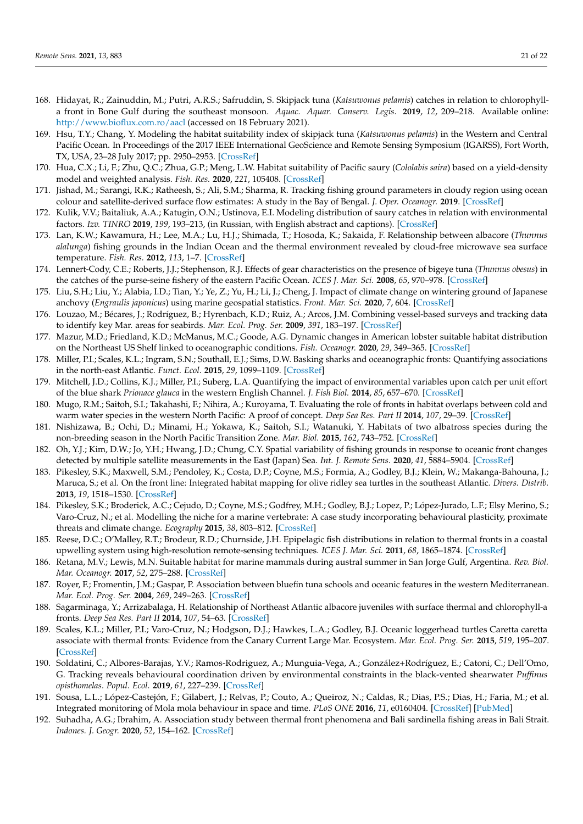- <span id="page-20-0"></span>168. Hidayat, R.; Zainuddin, M.; Putri, A.R.S.; Safruddin, S. Skipjack tuna (*Katsuwonus pelamis*) catches in relation to chlorophylla front in Bone Gulf during the southeast monsoon. *Aquac. Aquar. Conserv. Legis.* **2019**, *12*, 209–218. Available online: <http://www.bioflux.com.ro/aacl> (accessed on 18 February 2021).
- <span id="page-20-1"></span>169. Hsu, T.Y.; Chang, Y. Modeling the habitat suitability index of skipjack tuna (*Katsuwonus pelamis*) in the Western and Central Pacific Ocean. In Proceedings of the 2017 IEEE International GeoScience and Remote Sensing Symposium (IGARSS), Fort Worth, TX, USA, 23–28 July 2017; pp. 2950–2953. [\[CrossRef\]](http://doi.org/10.1109/IGARSS.2017.8127617)
- <span id="page-20-2"></span>170. Hua, C.X.; Li, F.; Zhu, Q.C.; Zhua, G.P.; Meng, L.W. Habitat suitability of Pacific saury (*Cololabis saira*) based on a yield-density model and weighted analysis. *Fish. Res.* **2020**, *221*, 105408. [\[CrossRef\]](http://doi.org/10.1016/j.fishres.2019.105408)
- <span id="page-20-3"></span>171. Jishad, M.; Sarangi, R.K.; Ratheesh, S.; Ali, S.M.; Sharma, R. Tracking fishing ground parameters in cloudy region using ocean colour and satellite-derived surface flow estimates: A study in the Bay of Bengal. *J. Oper. Oceanogr.* **2019**. [\[CrossRef\]](http://doi.org/10.1080/1755876X.2019.1658566)
- <span id="page-20-4"></span>172. Kulik, V.V.; Baitaliuk, A.A.; Katugin, O.N.; Ustinova, E.I. Modeling distribution of saury catches in relation with environmental factors. *Izv. TINRO* **2019**, *199*, 193–213, (in Russian, with English abstract and captions). [\[CrossRef\]](http://doi.org/10.26428/1606-9919-2019-199-193-213)
- <span id="page-20-5"></span>173. Lan, K.W.; Kawamura, H.; Lee, M.A.; Lu, H.J.; Shimada, T.; Hosoda, K.; Sakaida, F. Relationship between albacore (*Thunnus alalunga*) fishing grounds in the Indian Ocean and the thermal environment revealed by cloud-free microwave sea surface temperature. *Fish. Res.* **2012**, *113*, 1–7. [\[CrossRef\]](http://doi.org/10.1016/j.fishres.2011.08.017)
- <span id="page-20-6"></span>174. Lennert-Cody, C.E.; Roberts, J.J.; Stephenson, R.J. Effects of gear characteristics on the presence of bigeye tuna (*Thunnus obesus*) in the catches of the purse-seine fishery of the eastern Pacific Ocean. *ICES J. Mar. Sci.* **2008**, *65*, 970–978. [\[CrossRef\]](http://doi.org/10.1093/icesjms/fsn075)
- <span id="page-20-7"></span>175. Liu, S.H.; Liu, Y.; Alabia, I.D.; Tian, Y.; Ye, Z.; Yu, H.; Li, J.; Cheng, J. Impact of climate change on wintering ground of Japanese anchovy (*Engraulis japonicus*) using marine geospatial statistics. *Front. Mar. Sci.* **2020**, *7*, 604. [\[CrossRef\]](http://doi.org/10.3389/fmars.2020.00604)
- <span id="page-20-8"></span>176. Louzao, M.; Bécares, J.; Rodríguez, B.; Hyrenbach, K.D.; Ruiz, A.; Arcos, J.M. Combining vessel-based surveys and tracking data to identify key Mar. areas for seabirds. *Mar. Ecol. Prog. Ser.* **2009**, *391*, 183–197. [\[CrossRef\]](http://doi.org/10.3354/meps08124)
- <span id="page-20-9"></span>177. Mazur, M.D.; Friedland, K.D.; McManus, M.C.; Goode, A.G. Dynamic changes in American lobster suitable habitat distribution on the Northeast US Shelf linked to oceanographic conditions. *Fish. Oceanogr.* **2020**, *29*, 349–365. [\[CrossRef\]](http://doi.org/10.1111/fog.12476)
- <span id="page-20-10"></span>178. Miller, P.I.; Scales, K.L.; Ingram, S.N.; Southall, E.J.; Sims, D.W. Basking sharks and oceanographic fronts: Quantifying associations in the north-east Atlantic. *Funct. Ecol.* **2015**, *29*, 1099–1109. [\[CrossRef\]](http://doi.org/10.1111/1365-2435.12423)
- <span id="page-20-11"></span>179. Mitchell, J.D.; Collins, K.J.; Miller, P.I.; Suberg, L.A. Quantifying the impact of environmental variables upon catch per unit effort of the blue shark *Prionace glauca* in the western English Channel. *J. Fish Biol.* **2014**, *85*, 657–670. [\[CrossRef\]](http://doi.org/10.1111/jfb.12448)
- <span id="page-20-12"></span>180. Mugo, R.M.; Saitoh, S.I.; Takahashi, F.; Nihira, A.; Kuroyama, T. Evaluating the role of fronts in habitat overlaps between cold and warm water species in the western North Pacific: A proof of concept. *Deep Sea Res. Part II* **2014**, *107*, 29–39. [\[CrossRef\]](http://doi.org/10.1016/j.dsr2.2013.11.005)
- <span id="page-20-13"></span>181. Nishizawa, B.; Ochi, D.; Minami, H.; Yokawa, K.; Saitoh, S.I.; Watanuki, Y. Habitats of two albatross species during the non-breeding season in the North Pacific Transition Zone. *Mar. Biol.* **2015**, *162*, 743–752. [\[CrossRef\]](http://doi.org/10.1007/s00227-015-2620-1)
- <span id="page-20-14"></span>182. Oh, Y.J.; Kim, D.W.; Jo, Y.H.; Hwang, J.D.; Chung, C.Y. Spatial variability of fishing grounds in response to oceanic front changes detected by multiple satellite measurements in the East (Japan) Sea. *Int. J. Remote Sens.* **2020**, *41*, 5884–5904. [\[CrossRef\]](http://doi.org/10.1080/01431161.2019.1685722)
- <span id="page-20-15"></span>183. Pikesley, S.K.; Maxwell, S.M.; Pendoley, K.; Costa, D.P.; Coyne, M.S.; Formia, A.; Godley, B.J.; Klein, W.; Makanga-Bahouna, J.; Maruca, S.; et al. On the front line: Integrated habitat mapping for olive ridley sea turtles in the southeast Atlantic. *Divers. Distrib.* **2013**, *19*, 1518–1530. [\[CrossRef\]](http://doi.org/10.1111/ddi.12118)
- <span id="page-20-16"></span>184. Pikesley, S.K.; Broderick, A.C.; Cejudo, D.; Coyne, M.S.; Godfrey, M.H.; Godley, B.J.; Lopez, P.; López-Jurado, L.F.; Elsy Merino, S.; Varo-Cruz, N.; et al. Modelling the niche for a marine vertebrate: A case study incorporating behavioural plasticity, proximate threats and climate change. *Ecography* **2015**, *38*, 803–812. [\[CrossRef\]](http://doi.org/10.1111/ecog.01245)
- <span id="page-20-17"></span>185. Reese, D.C.; O'Malley, R.T.; Brodeur, R.D.; Churnside, J.H. Epipelagic fish distributions in relation to thermal fronts in a coastal upwelling system using high-resolution remote-sensing techniques. *ICES J. Mar. Sci.* **2011**, *68*, 1865–1874. [\[CrossRef\]](http://doi.org/10.1093/icesjms/fsr107)
- <span id="page-20-18"></span>186. Retana, M.V.; Lewis, M.N. Suitable habitat for marine mammals during austral summer in San Jorge Gulf, Argentina. *Rev. Biol. Mar. Oceanogr.* **2017**, *52*, 275–288. [\[CrossRef\]](http://doi.org/10.4067/S0718-19572017000200007)
- <span id="page-20-19"></span>187. Royer, F.; Fromentin, J.M.; Gaspar, P. Association between bluefin tuna schools and oceanic features in the western Mediterranean. *Mar. Ecol. Prog. Ser.* **2004**, *269*, 249–263. [\[CrossRef\]](http://doi.org/10.3354/meps269249)
- <span id="page-20-20"></span>188. Sagarminaga, Y.; Arrizabalaga, H. Relationship of Northeast Atlantic albacore juveniles with surface thermal and chlorophyll-a fronts. *Deep Sea Res. Part II* **2014**, *107*, 54–63. [\[CrossRef\]](http://doi.org/10.1016/j.dsr2.2013.11.006)
- <span id="page-20-21"></span>189. Scales, K.L.; Miller, P.I.; Varo-Cruz, N.; Hodgson, D.J.; Hawkes, L.A.; Godley, B.J. Oceanic loggerhead turtles Caretta caretta associate with thermal fronts: Evidence from the Canary Current Large Mar. Ecosystem. *Mar. Ecol. Prog. Ser.* **2015**, *519*, 195–207. [\[CrossRef\]](http://doi.org/10.3354/meps11075)
- <span id="page-20-22"></span>190. Soldatini, C.; Albores-Barajas, Y.V.; Ramos-Rodriguez, A.; Munguia-Vega, A.; González+Rodríguez, E.; Catoni, C.; Dell'Omo, G. Tracking reveals behavioural coordination driven by environmental constraints in the black-vented shearwater *Puffinus opisthomelas*. *Popul. Ecol.* **2019**, *61*, 227–239. [\[CrossRef\]](http://doi.org/10.1002/1438-390X.1024)
- <span id="page-20-23"></span>191. Sousa, L.L.; López-Castejón, F.; Gilabert, J.; Relvas, P.; Couto, A.; Queiroz, N.; Caldas, R.; Dias, P.S.; Dias, H.; Faria, M.; et al. Integrated monitoring of Mola mola behaviour in space and time. *PLoS ONE* **2016**, *11*, e0160404. [\[CrossRef\]](http://doi.org/10.1371/journal.pone.0160404) [\[PubMed\]](http://www.ncbi.nlm.nih.gov/pubmed/27494028)
- <span id="page-20-24"></span>192. Suhadha, A.G.; Ibrahim, A. Association study between thermal front phenomena and Bali sardinella fishing areas in Bali Strait. *Indones. J. Geogr.* **2020**, *52*, 154–162. [\[CrossRef\]](http://doi.org/10.22146/ijg.51668)